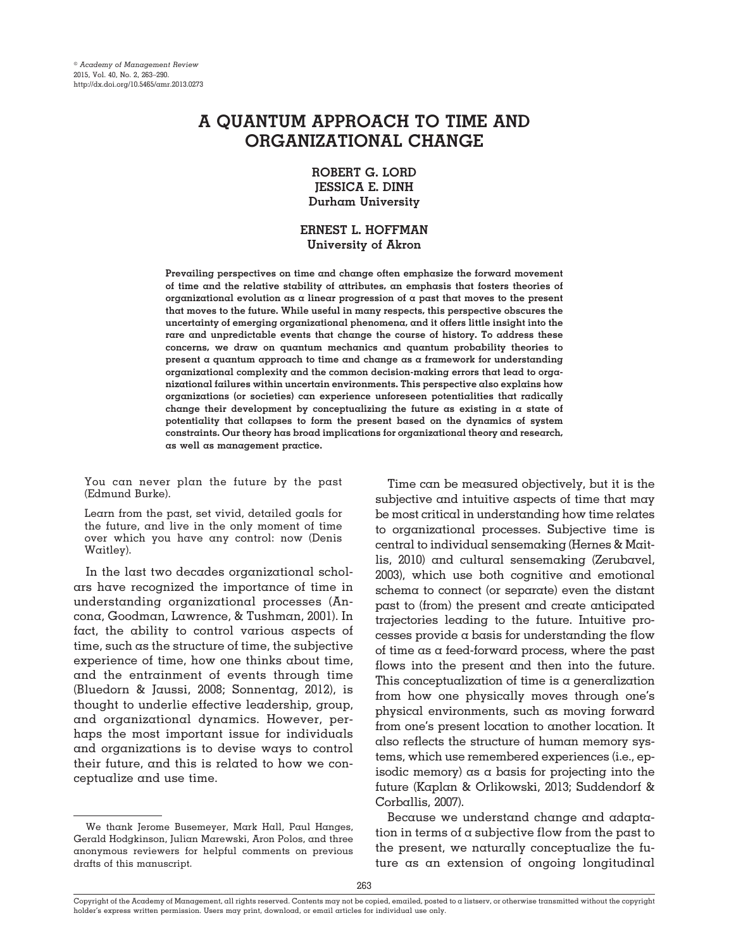# **A QUANTUM APPROACH TO TIME AND ORGANIZATIONAL CHANGE**

# **ROBERT G. LORD JESSICA E. DINH Durham University**

# **ERNEST L. HOFFMAN University of Akron**

**Prevailing perspectives on time and change often emphasize the forward movement of time and the relative stability of attributes, an emphasis that fosters theories of organizational evolution as a linear progression of a past that moves to the present that moves to the future. While useful in many respects, this perspective obscures the uncertainty of emerging organizational phenomena, and it offers little insight into the rare and unpredictable events that change the course of history. To address these concerns, we draw on quantum mechanics and quantum probability theories to present a quantum approach to time and change as a framework for understanding organizational complexity and the common decision-making errors that lead to organizational failures within uncertain environments. This perspective also explains how organizations (or societies) can experience unforeseen potentialities that radically change their development by conceptualizing the future as existing in a state of potentiality that collapses to form the present based on the dynamics of system constraints. Our theory has broad implications for organizational theory and research, as well as management practice.**

You can never plan the future by the past (Edmund Burke).

Learn from the past, set vivid, detailed goals for the future, and live in the only moment of time over which you have any control: now (Denis Waitley).

In the last two decades organizational scholars have recognized the importance of time in understanding organizational processes (Ancona, Goodman, Lawrence, & Tushman, 2001). In fact, the ability to control various aspects of time, such as the structure of time, the subjective experience of time, how one thinks about time, and the entrainment of events through time (Bluedorn & Jaussi, 2008; Sonnentag, 2012), is thought to underlie effective leadership, group, and organizational dynamics. However, perhaps the most important issue for individuals and organizations is to devise ways to control their future, and this is related to how we conceptualize and use time.

Time can be measured objectively, but it is the subjective and intuitive aspects of time that may be most critical in understanding how time relates to organizational processes. Subjective time is central to individual sensemaking (Hernes & Maitlis, 2010) and cultural sensemaking (Zerubavel, 2003), which use both cognitive and emotional schema to connect (or separate) even the distant past to (from) the present and create anticipated trajectories leading to the future. Intuitive processes provide a basis for understanding the flow of time as a feed-forward process, where the past flows into the present and then into the future. This conceptualization of time is a generalization from how one physically moves through one's physical environments, such as moving forward from one's present location to another location. It also reflects the structure of human memory systems, which use remembered experiences (i.e., episodic memory) as a basis for projecting into the future (Kaplan & Orlikowski, 2013; Suddendorf & Corballis, 2007).

Because we understand change and adaptation in terms of  $\alpha$  subjective flow from the past to the present, we naturally conceptualize the future as an extension of ongoing longitudinal

We thank Jerome Busemeyer, Mark Hall, Paul Hanges, Gerald Hodgkinson, Julian Marewski, Aron Polos, and three anonymous reviewers for helpful comments on previous drafts of this manuscript.

Copyright of the Academy of Management, all rights reserved. Contents may not be copied, emailed, posted to a listserv, or otherwise transmitted without the copyright holder's express written permission. Users may print, download, or email articles for individual use only.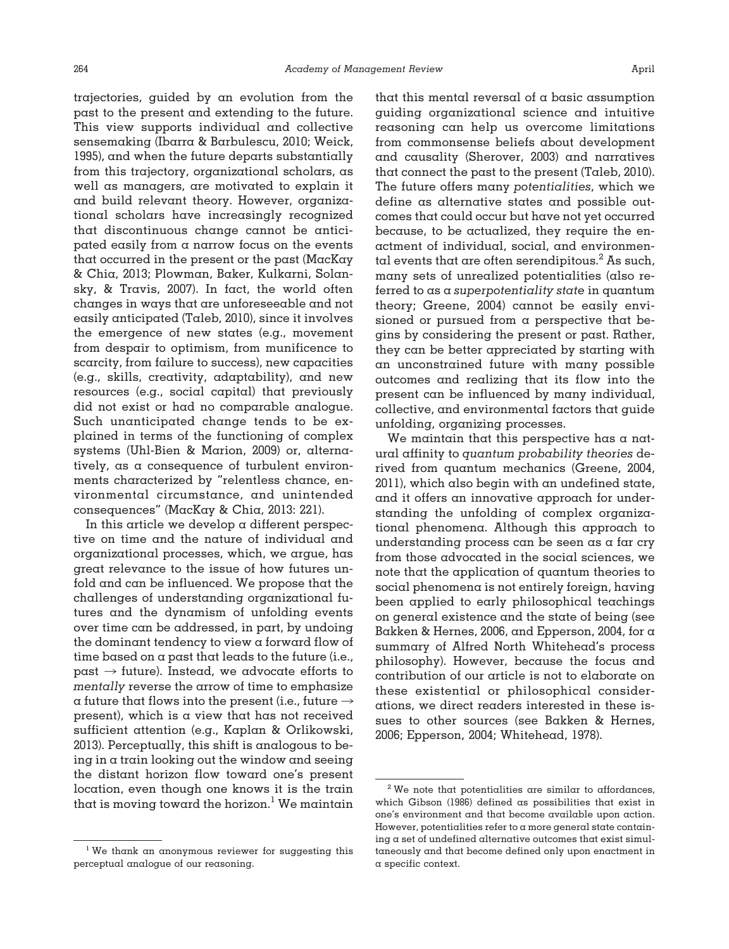trajectories, guided by an evolution from the past to the present and extending to the future. This view supports individual and collective sensemaking (Ibarra & Barbulescu, 2010; Weick, 1995), and when the future departs substantially from this trajectory, organizational scholars, as well as managers, are motivated to explain it and build relevant theory. However, organizational scholars have increasingly recognized that discontinuous change cannot be anticipated easily from a narrow focus on the events that occurred in the present or the past (MacKay & Chia, 2013; Plowman, Baker, Kulkarni, Solansky, & Travis, 2007). In fact, the world often changes in ways that are unforeseeable and not easily anticipated (Taleb, 2010), since it involves the emergence of new states (e.g., movement from despair to optimism, from munificence to scarcity, from failure to success), new capacities (e.g., skills, creativity, adaptability), and new resources (e.g., social capital) that previously did not exist or had no comparable analogue. Such unanticipated change tends to be explained in terms of the functioning of complex systems (Uhl-Bien & Marion, 2009) or, alternatively, as a consequence of turbulent environments characterized by "relentless chance, environmental circumstance, and unintended consequences" (MacKay & Chia, 2013: 221).

In this article we develop a different perspective on time and the nature of individual and organizational processes, which, we argue, has great relevance to the issue of how futures unfold and can be influenced. We propose that the challenges of understanding organizational futures and the dynamism of unfolding events over time can be addressed, in part, by undoing the dominant tendency to view a forward flow of time based on a past that leads to the future (i.e.,  $past \rightarrow future$ ). Instead, we advocate efforts to *mentally* reverse the arrow of time to emphasize a future that flows into the present (i.e., future  $\rightarrow$ present), which is a view that has not received sufficient attention (e.g., Kaplan & Orlikowski, 2013). Perceptually, this shift is analogous to being in a train looking out the window and seeing the distant horizon flow toward one's present location, even though one knows it is the train that is moving toward the horizon.<sup>1</sup> We maintain

that this mental reversal of a basic assumption guiding organizational science and intuitive reasoning can help us overcome limitations from commonsense beliefs about development and causality (Sherover, 2003) and narratives that connect the past to the present (Taleb, 2010). The future offers many *potentialities*, which we define as alternative states and possible outcomes that could occur but have not yet occurred because, to be actualized, they require the enactment of individual, social, and environmental events that are often serendipitous. $^2$  As such, many sets of unrealized potentialities (also referred to as a *superpotentiality state* in quantum theory; Greene, 2004) cannot be easily envisioned or pursued from a perspective that begins by considering the present or past. Rather, they can be better appreciated by starting with an unconstrained future with many possible outcomes and realizing that its flow into the present can be influenced by many individual, collective, and environmental factors that guide unfolding, organizing processes.

We maintain that this perspective has a natural affinity to *quantum probability theories* derived from quantum mechanics (Greene, 2004, 2011), which also begin with an undefined state, and it offers an innovative approach for understanding the unfolding of complex organizational phenomena. Although this approach to understanding process can be seen as a far cry from those advocated in the social sciences, we note that the application of quantum theories to social phenomena is not entirely foreign, having been applied to early philosophical teachings on general existence and the state of being (see Bakken & Hernes, 2006, and Epperson, 2004, for a summary of Alfred North Whitehead's process philosophy). However, because the focus and contribution of our article is not to elaborate on these existential or philosophical considerations, we direct readers interested in these issues to other sources (see Bakken & Hernes, 2006; Epperson, 2004; Whitehead, 1978).

<sup>&</sup>lt;sup>1</sup> We thank an anonymous reviewer for suggesting this perceptual analogue of our reasoning.

<sup>2</sup> We note that potentialities are similar to affordances, which Gibson (1986) defined as possibilities that exist in one's environment and that become available upon action. However, potentialities refer to  $\alpha$  more general state containing  $\alpha$  set of undefined alternative outcomes that exist simultaneously and that become defined only upon enactment in a specific context.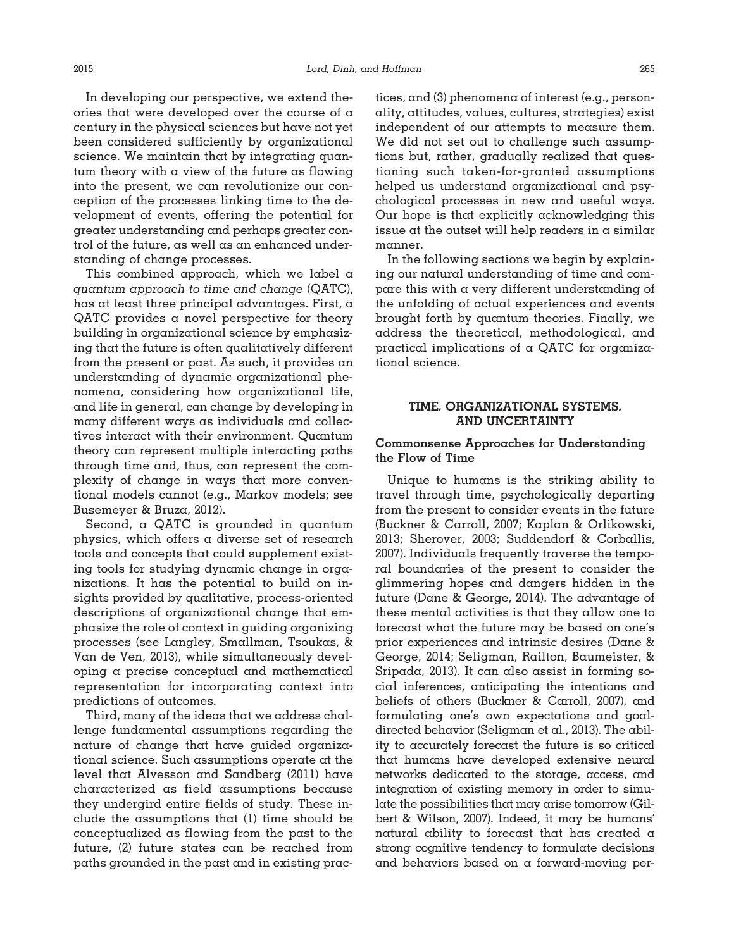In developing our perspective, we extend theories that were developed over the course of a century in the physical sciences but have not yet been considered sufficiently by organizational science. We maintain that by integrating quantum theory with a view of the future as flowing into the present, we can revolutionize our conception of the processes linking time to the development of events, offering the potential for greater understanding and perhaps greater control of the future, as well as an enhanced understanding of change processes.

This combined approach, which we label a *quantum approach to time and change* (QATC), has at least three principal advantages. First, a QATC provides a novel perspective for theory building in organizational science by emphasizing that the future is often qualitatively different from the present or past. As such, it provides an understanding of dynamic organizational phenomena, considering how organizational life, and life in general, can change by developing in many different ways as individuals and collectives interact with their environment. Quantum theory can represent multiple interacting paths through time and, thus, can represent the complexity of change in ways that more conventional models cannot (e.g., Markov models; see Busemeyer & Bruza, 2012).

Second, a QATC is grounded in quantum physics, which offers a diverse set of research tools and concepts that could supplement existing tools for studying dynamic change in organizations. It has the potential to build on insights provided by qualitative, process-oriented descriptions of organizational change that emphasize the role of context in guiding organizing processes (see Langley, Smallman, Tsoukas, & Van de Ven, 2013), while simultaneously developing a precise conceptual and mathematical representation for incorporating context into predictions of outcomes.

Third, many of the ideas that we address challenge fundamental assumptions regarding the nature of change that have guided organizational science. Such assumptions operate at the level that Alvesson and Sandberg (2011) have characterized as field assumptions because they undergird entire fields of study. These include the assumptions that (1) time should be conceptualized as flowing from the past to the future, (2) future states can be reached from paths grounded in the past and in existing prac-

tices, and (3) phenomena of interest (e.g., personality, attitudes, values, cultures, strategies) exist independent of our attempts to measure them. We did not set out to challenge such assumptions but, rather, gradually realized that questioning such taken-for-granted assumptions helped us understand organizational and psychological processes in new and useful ways. Our hope is that explicitly acknowledging this issue at the outset will help readers in a similar manner.

In the following sections we begin by explaining our natural understanding of time and compare this with a very different understanding of the unfolding of actual experiences and events brought forth by quantum theories. Finally, we address the theoretical, methodological, and practical implications of a QATC for organizational science.

# **TIME, ORGANIZATIONAL SYSTEMS, AND UNCERTAINTY**

# **Commonsense Approaches for Understanding the Flow of Time**

Unique to humans is the striking ability to travel through time, psychologically departing from the present to consider events in the future (Buckner & Carroll, 2007; Kaplan & Orlikowski, 2013; Sherover, 2003; Suddendorf & Corballis, 2007). Individuals frequently traverse the temporal boundaries of the present to consider the glimmering hopes and dangers hidden in the future (Dane & George, 2014). The advantage of these mental activities is that they allow one to forecast what the future may be based on one's prior experiences and intrinsic desires (Dane & George, 2014; Seligman, Railton, Baumeister, & Sripada, 2013). It can also assist in forming social inferences, anticipating the intentions and beliefs of others (Buckner & Carroll, 2007), and formulating one's own expectations and goaldirected behavior (Seligman et al., 2013). The ability to accurately forecast the future is so critical that humans have developed extensive neural networks dedicated to the storage, access, and integration of existing memory in order to simulate the possibilities that may arise tomorrow (Gilbert & Wilson, 2007). Indeed, it may be humans' natural ability to forecast that has created a strong cognitive tendency to formulate decisions and behaviors based on a forward-moving per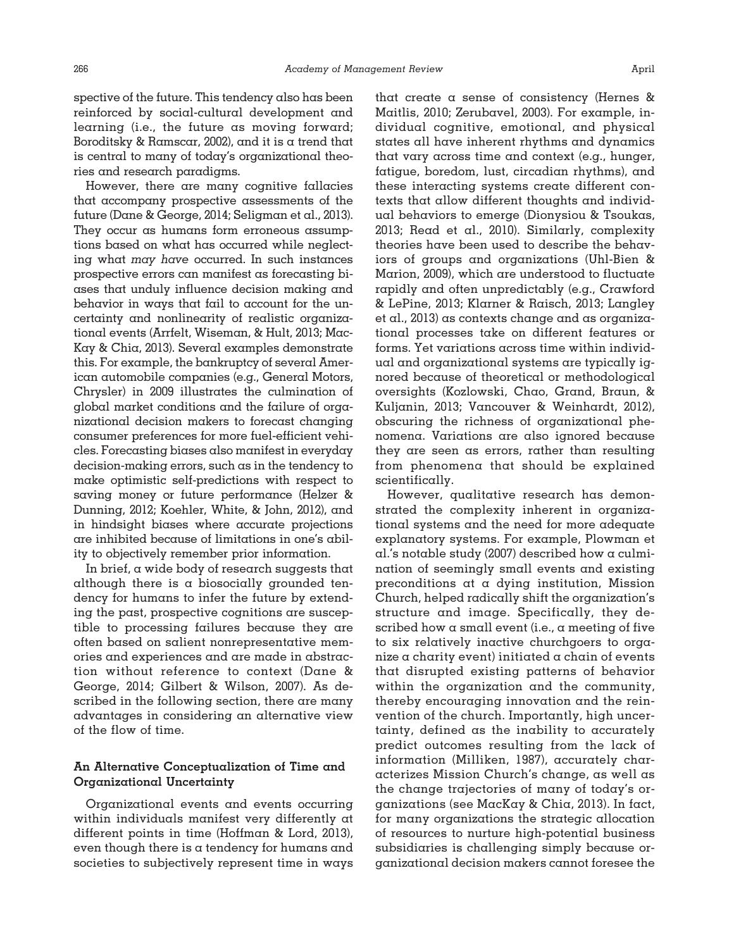spective of the future. This tendency also has been reinforced by social-cultural development and learning (i.e., the future as moving forward; Boroditsky & Ramscar, 2002), and it is a trend that is central to many of today's organizational theories and research paradigms.

However, there are many cognitive fallacies that accompany prospective assessments of the future (Dane & George, 2014; Seligman et al., 2013). They occur as humans form erroneous assumptions based on what has occurred while neglecting what *may have* occurred. In such instances prospective errors can manifest as forecasting biases that unduly influence decision making and behavior in ways that fail to account for the uncertainty and nonlinearity of realistic organizational events (Arrfelt, Wiseman, & Hult, 2013; Mac-Kay & Chia, 2013). Several examples demonstrate this. For example, the bankruptcy of several American automobile companies (e.g., General Motors, Chrysler) in 2009 illustrates the culmination of global market conditions and the failure of organizational decision makers to forecast changing consumer preferences for more fuel-efficient vehicles. Forecasting biases also manifest in everyday decision-making errors, such as in the tendency to make optimistic self-predictions with respect to saving money or future performance (Helzer & Dunning, 2012; Koehler, White, & John, 2012), and in hindsight biases where accurate projections are inhibited because of limitations in one's ability to objectively remember prior information.

In brief, a wide body of research suggests that although there is a biosocially grounded tendency for humans to infer the future by extending the past, prospective cognitions are susceptible to processing failures because they are often based on salient nonrepresentative memories and experiences and are made in abstraction without reference to context (Dane & George, 2014; Gilbert & Wilson, 2007). As described in the following section, there are many advantages in considering an alternative view of the flow of time.

# **An Alternative Conceptualization of Time and Organizational Uncertainty**

Organizational events and events occurring within individuals manifest very differently at different points in time (Hoffman & Lord, 2013), even though there is a tendency for humans and societies to subjectively represent time in ways

that create a sense of consistency (Hernes & Maitlis, 2010; Zerubavel, 2003). For example, individual cognitive, emotional, and physical states all have inherent rhythms and dynamics that vary across time and context (e.g., hunger, fatigue, boredom, lust, circadian rhythms), and these interacting systems create different contexts that allow different thoughts and individual behaviors to emerge (Dionysiou & Tsoukas, 2013; Read et al., 2010). Similarly, complexity theories have been used to describe the behaviors of groups and organizations (Uhl-Bien & Marion, 2009), which are understood to fluctuate rapidly and often unpredictably (e.g., Crawford & LePine, 2013; Klarner & Raisch, 2013; Langley et al., 2013) as contexts change and as organizational processes take on different features or forms. Yet variations across time within individual and organizational systems are typically ignored because of theoretical or methodological oversights (Kozlowski, Chao, Grand, Braun, & Kuljanin, 2013; Vancouver & Weinhardt, 2012), obscuring the richness of organizational phenomena. Variations are also ignored because they are seen as errors, rather than resulting from phenomena that should be explained scientifically.

However, qualitative research has demonstrated the complexity inherent in organizational systems and the need for more adequate explanatory systems. For example, Plowman et al.'s notable study (2007) described how a culmination of seemingly small events and existing preconditions at a dying institution, Mission Church, helped radically shift the organization's structure and image. Specifically, they described how a small event (i.e., a meeting of five to six relatively inactive churchgoers to organize  $\alpha$  charity event) initiated  $\alpha$  chain of events that disrupted existing patterns of behavior within the organization and the community, thereby encouraging innovation and the reinvention of the church. Importantly, high uncertainty, defined as the inability to accurately predict outcomes resulting from the lack of information (Milliken, 1987), accurately characterizes Mission Church's change, as well as the change trajectories of many of today's organizations (see MacKay & Chia, 2013). In fact, for many organizations the strategic allocation of resources to nurture high-potential business subsidiaries is challenging simply because organizational decision makers cannot foresee the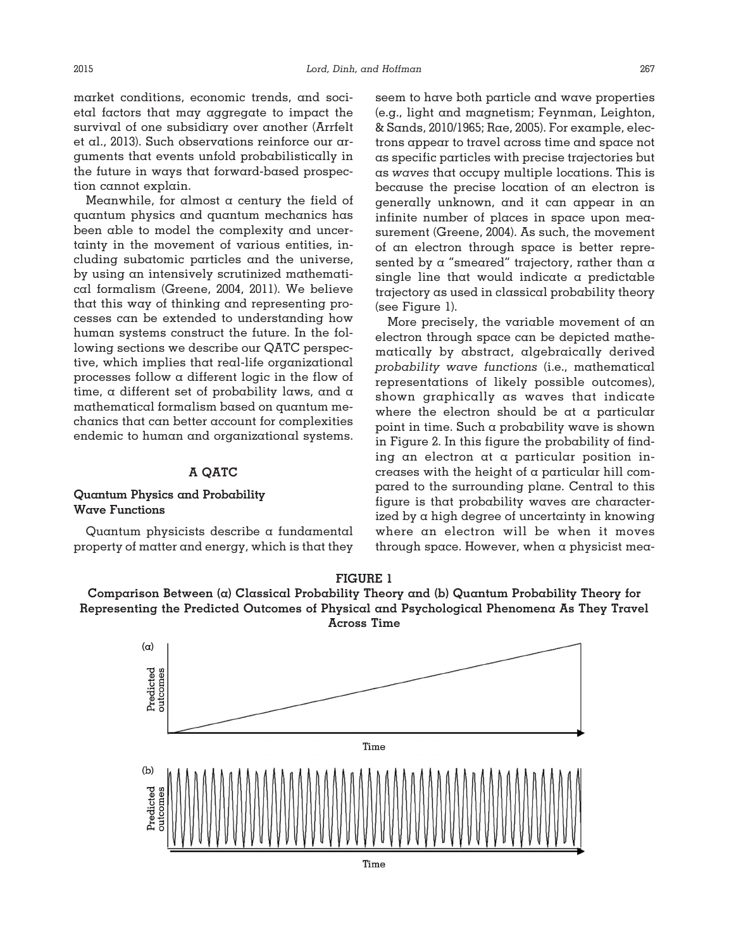market conditions, economic trends, and societal factors that may aggregate to impact the survival of one subsidiary over another (Arrfelt et al., 2013). Such observations reinforce our arguments that events unfold probabilistically in the future in ways that forward-based prospection cannot explain.

Meanwhile, for almost  $\alpha$  century the field of quantum physics and quantum mechanics has been able to model the complexity and uncertainty in the movement of various entities, including subatomic particles and the universe, by using an intensively scrutinized mathematical formalism (Greene, 2004, 2011). We believe that this way of thinking and representing processes can be extended to understanding how human systems construct the future. In the following sections we describe our QATC perspective, which implies that real-life organizational processes follow a different logic in the flow of time, a different set of probability laws, and a mathematical formalism based on quantum mechanics that can better account for complexities endemic to human and organizational systems.

#### **A QATC**

### **Quantum Physics and Probability Wave Functions**

Quantum physicists describe a fundamental property of matter and energy, which is that they

seem to have both particle and wave properties (e.g., light and magnetism; Feynman, Leighton, & Sands, 2010/1965; Rae, 2005). For example, electrons appear to travel across time and space not as specific particles with precise trajectories but as *waves* that occupy multiple locations. This is because the precise location of an electron is generally unknown, and it can appear in an infinite number of places in space upon measurement (Greene, 2004). As such, the movement of an electron through space is better represented by a "smeared" trajectory, rather than a single line that would indicate  $\alpha$  predictable trajectory as used in classical probability theory (see Figure 1).

More precisely, the variable movement of an electron through space can be depicted mathematically by abstract, algebraically derived *probability wave functions* (i.e., mathematical representations of likely possible outcomes), shown graphically as waves that indicate where the electron should be at a particular point in time. Such a probability wave is shown in Figure 2. In this figure the probability of finding an electron at a particular position increases with the height of a particular hill compared to the surrounding plane. Central to this figure is that probability waves are characterized by a high degree of uncertainty in knowing where an electron will be when it moves through space. However, when a physicist mea-



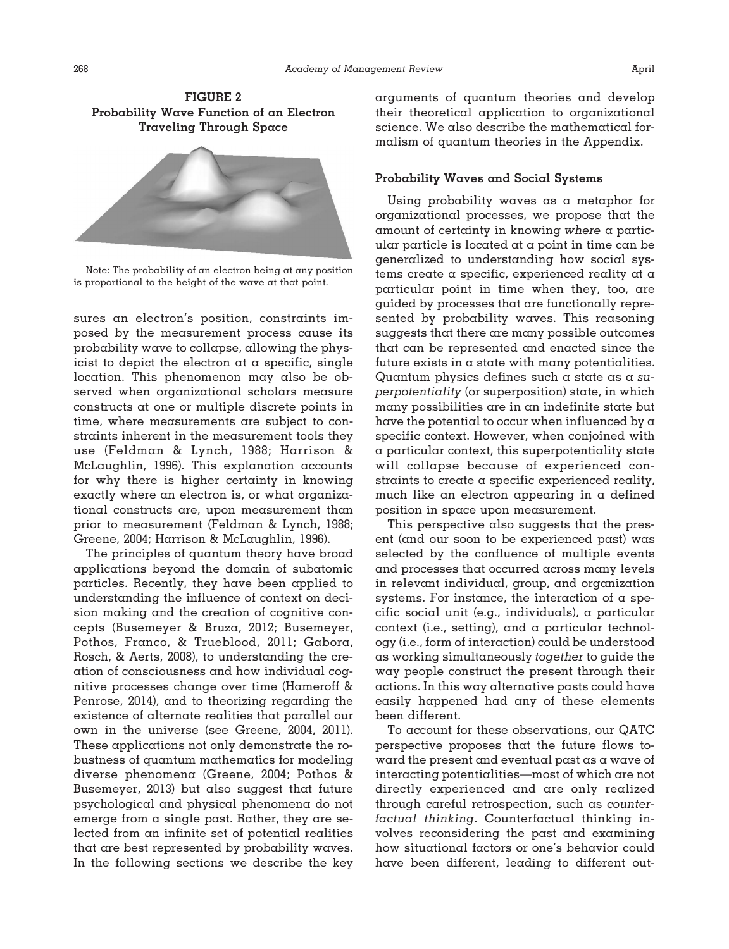



Note: The probability of an electron being at any position is proportional to the height of the wave at that point.

sures an electron's position, constraints imposed by the measurement process cause its probability wave to collapse, allowing the physicist to depict the electron at a specific, single location. This phenomenon may also be observed when organizational scholars measure constructs at one or multiple discrete points in time, where measurements are subject to constraints inherent in the measurement tools they use (Feldman & Lynch, 1988; Harrison & McLaughlin, 1996). This explanation accounts for why there is higher certainty in knowing exactly where an electron is, or what organizational constructs are, upon measurement than prior to measurement (Feldman & Lynch, 1988; Greene, 2004; Harrison & McLaughlin, 1996).

The principles of quantum theory have broad applications beyond the domain of subatomic particles. Recently, they have been applied to understanding the influence of context on decision making and the creation of cognitive concepts (Busemeyer & Bruza, 2012; Busemeyer, Pothos, Franco, & Trueblood, 2011; Gabora, Rosch, & Aerts, 2008), to understanding the creation of consciousness and how individual cognitive processes change over time (Hameroff & Penrose, 2014), and to theorizing regarding the existence of alternate realities that parallel our own in the universe (see Greene, 2004, 2011). These applications not only demonstrate the robustness of quantum mathematics for modeling diverse phenomena (Greene, 2004; Pothos & Busemeyer, 2013) but also suggest that future psychological and physical phenomena do not emerge from a single past. Rather, they are selected from an infinite set of potential realities that are best represented by probability waves. In the following sections we describe the key

arguments of quantum theories and develop their theoretical application to organizational science. We also describe the mathematical formalism of quantum theories in the Appendix.

### **Probability Waves and Social Systems**

Using probability waves as a metaphor for organizational processes, we propose that the amount of certainty in knowing *where* a particular particle is located at a point in time can be generalized to understanding how social systems create a specific, experienced reality at a particular point in time when they, too, are guided by processes that are functionally represented by probability waves. This reasoning suggests that there are many possible outcomes that can be represented and enacted since the future exists in a state with many potentialities. Quantum physics defines such a state as a *superpotentiality* (or superposition) state, in which many possibilities are in an indefinite state but have the potential to occur when influenced by a specific context. However, when conjoined with a particular context, this superpotentiality state will collapse because of experienced constraints to create a specific experienced reality, much like an electron appearing in  $\alpha$  defined position in space upon measurement.

This perspective also suggests that the present (and our soon to be experienced past) was selected by the confluence of multiple events and processes that occurred across many levels in relevant individual, group, and organization systems. For instance, the interaction of  $\alpha$  specific social unit (e.g., individuals), a particular context (i.e., setting), and  $\alpha$  particular technology (i.e., form of interaction) could be understood as working simultaneously *together* to guide the way people construct the present through their actions. In this way alternative pasts could have easily happened had any of these elements been different.

To account for these observations, our QATC perspective proposes that the future flows toward the present and eventual past as a wave of interacting potentialities—most of which are not directly experienced and are only realized through careful retrospection, such as *counterfactual thinking*. Counterfactual thinking involves reconsidering the past and examining how situational factors or one's behavior could have been different, leading to different out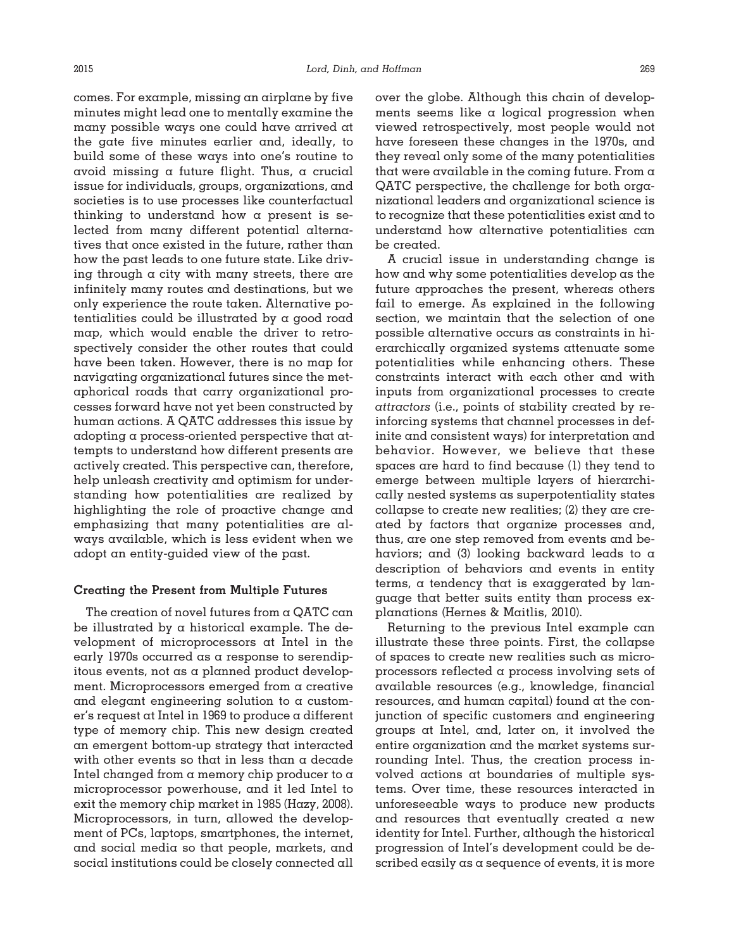comes. For example, missing an airplane by five minutes might lead one to mentally examine the many possible ways one could have arrived at the gate five minutes earlier and, ideally, to build some of these ways into one's routine to avoid missing a future flight. Thus, a crucial issue for individuals, groups, organizations, and societies is to use processes like counterfactual thinking to understand how a present is selected from many different potential alternatives that once existed in the future, rather than how the past leads to one future state. Like driving through a city with many streets, there are infinitely many routes and destinations, but we only experience the route taken. Alternative potentialities could be illustrated by a good road map, which would enable the driver to retrospectively consider the other routes that could have been taken. However, there is no map for navigating organizational futures since the metaphorical roads that carry organizational processes forward have not yet been constructed by human actions. A QATC addresses this issue by adopting a process-oriented perspective that attempts to understand how different presents are actively created. This perspective can, therefore, help unleash creativity and optimism for understanding how potentialities are realized by highlighting the role of proactive change and emphasizing that many potentialities are always available, which is less evident when we adopt an entity-guided view of the past.

#### **Creating the Present from Multiple Futures**

The creation of novel futures from a QATC can be illustrated by a historical example. The development of microprocessors at Intel in the early 1970s occurred as a response to serendipitous events, not as a planned product development. Microprocessors emerged from a creative and elegant engineering solution to  $\alpha$  customer's request at Intel in 1969 to produce a different type of memory chip. This new design created an emergent bottom-up strategy that interacted with other events so that in less than a decade Intel changed from a memory chip producer to  $\alpha$ microprocessor powerhouse, and it led Intel to exit the memory chip market in 1985 (Hazy, 2008). Microprocessors, in turn, allowed the development of PCs, laptops, smartphones, the internet, and social media so that people, markets, and social institutions could be closely connected all

over the globe. Although this chain of developments seems like a logical progression when viewed retrospectively, most people would not have foreseen these changes in the 1970s, and they reveal only some of the many potentialities that were available in the coming future. From  $\alpha$ QATC perspective, the challenge for both organizational leaders and organizational science is to recognize that these potentialities exist and to understand how alternative potentialities can be created.

A crucial issue in understanding change is how and why some potentialities develop as the future approaches the present, whereas others fail to emerge. As explained in the following section, we maintain that the selection of one possible alternative occurs as constraints in hierarchically organized systems attenuate some potentialities while enhancing others. These constraints interact with each other and with inputs from organizational processes to create *attractors* (i.e., points of stability created by reinforcing systems that channel processes in definite and consistent ways) for interpretation and behavior. However, we believe that these spaces are hard to find because (1) they tend to emerge between multiple layers of hierarchically nested systems as superpotentiality states collapse to create new realities; (2) they are created by factors that organize processes and, thus, are one step removed from events and behaviors; and (3) looking backward leads to a description of behaviors and events in entity terms, a tendency that is exaggerated by language that better suits entity than process explanations (Hernes & Maitlis, 2010).

Returning to the previous Intel example can illustrate these three points. First, the collapse of spaces to create new realities such as microprocessors reflected a process involving sets of available resources (e.g., knowledge, financial resources, and human capital) found at the conjunction of specific customers and engineering groups at Intel, and, later on, it involved the entire organization and the market systems surrounding Intel. Thus, the creation process involved actions at boundaries of multiple systems. Over time, these resources interacted in unforeseeable ways to produce new products and resources that eventually created a new identity for Intel. Further, although the historical progression of Intel's development could be described easily as a sequence of events, it is more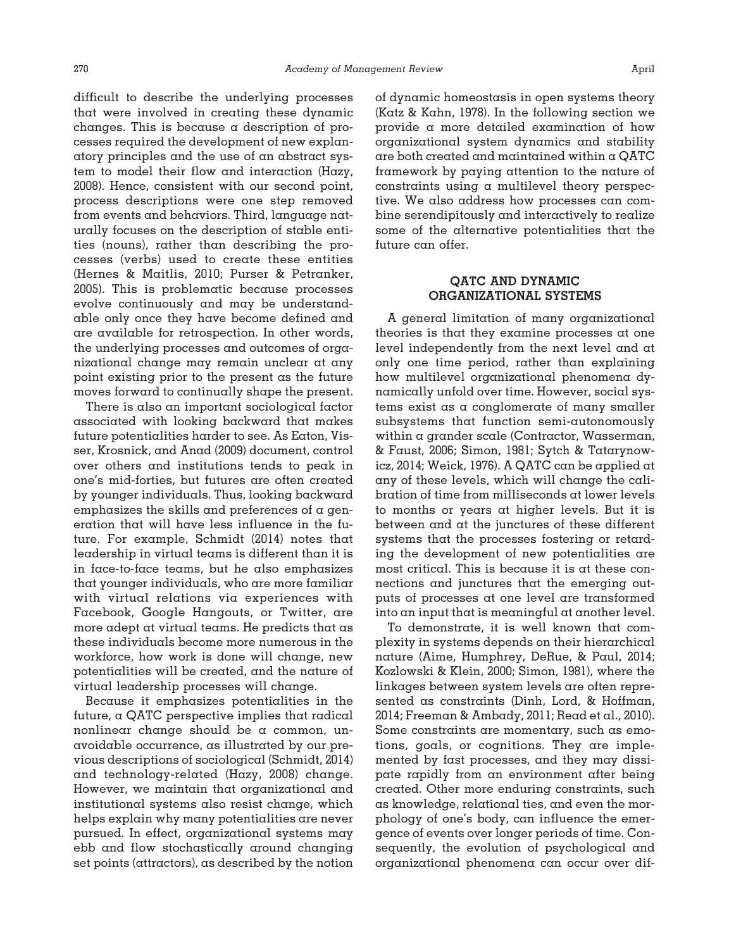difficult to describe the underlying processes that were involved in creating these dynamic changes. This is because a description of processes required the development of new explanatory principles and the use of an abstract system to model their flow and interaction (Hazy, 2008). Hence, consistent with our second point, process descriptions were one step removed from events and behaviors. Third, language naturally focuses on the description of stable entities (nouns), rather than describing the processes (verbs) used to create these entities (Hernes & Maitlis, 2010; Purser & Petranker, 2005). This is problematic because processes evolve continuously and may be understandable only once they have become defined and are available for retrospection. In other words, the underlying processes and outcomes of organizational change may remain unclear at any point existing prior to the present as the future moves forward to continually shape the present.

There is also an important sociological factor associated with looking backward that makes future potentialities harder to see. As Eaton, Visser, Krosnick, and Anad (2009) document, control over others and institutions tends to peak in one's mid-forties, but futures are often created by younger individuals. Thus, looking backward emphasizes the skills and preferences of a generation that will have less influence in the future. For example, Schmidt (2014) notes that leadership in virtual teams is different than it is in face-to-face teams, but he also emphasizes that younger individuals, who are more familiar with virtual relations via experiences with Facebook, Google Hangouts, or Twitter, are more adept at virtual teams. He predicts that as these individuals become more numerous in the workforce, how work is done will change, new potentialities will be created, and the nature of virtual leadership processes will change.

Because it emphasizes potentialities in the future, a QATC perspective implies that radical nonlinear change should be a common, unavoidable occurrence, as illustrated by our previous descriptions of sociological (Schmidt, 2014) and technology-related (Hazy, 2008) change. However, we maintain that organizational and institutional systems also resist change, which helps explain why many potentialities are never pursued. In effect, organizational systems may ebb and flow stochastically around changing set points (attractors), as described by the notion

of dynamic homeostasis in open systems theory (Katz & Kahn, 1978). In the following section we provide a more detailed examination of how organizational system dynamics and stability are both created and maintained within a QATC framework by paying attention to the nature of constraints using a multilevel theory perspective. We also address how processes can combine serendipitously and interactively to realize some of the alternative potentialities that the future can offer.

# **QATC AND DYNAMIC ORGANIZATIONAL SYSTEMS**

A general limitation of many organizational theories is that they examine processes at one level independently from the next level and at only one time period, rather than explaining how multilevel organizational phenomena dynamically unfold over time. However, social systems exist as a conglomerate of many smaller subsystems that function semi-autonomously within a grander scale (Contractor, Wasserman, & Faust, 2006; Simon, 1981; Sytch & Tatarynowicz, 2014; Weick, 1976). A QATC can be applied at any of these levels, which will change the calibration of time from milliseconds at lower levels to months or years at higher levels. But it is between and at the junctures of these different systems that the processes fostering or retarding the development of new potentialities are most critical. This is because it is at these connections and junctures that the emerging outputs of processes at one level are transformed into an input that is meaningful at another level.

To demonstrate, it is well known that complexity in systems depends on their hierarchical nature (Aime, Humphrey, DeRue, & Paul, 2014; Kozlowski & Klein, 2000; Simon, 1981), where the linkages between system levels are often represented as constraints (Dinh, Lord, & Hoffman, 2014; Freeman & Ambady, 2011; Read et al., 2010). Some constraints are momentary, such as emotions, goals, or cognitions. They are implemented by fast processes, and they may dissipate rapidly from an environment after being created. Other more enduring constraints, such as knowledge, relational ties, and even the morphology of one's body, can influence the emergence of events over longer periods of time. Consequently, the evolution of psychological and organizational phenomena can occur over dif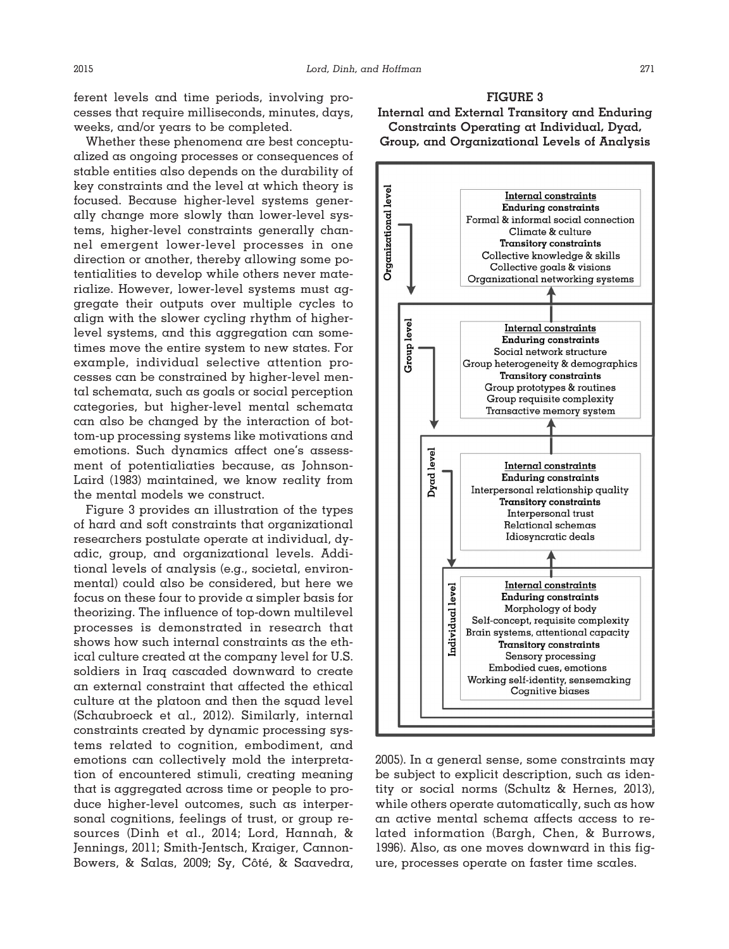ferent levels and time periods, involving processes that require milliseconds, minutes, days, weeks, and/or years to be completed.

Whether these phenomena are best conceptualized as ongoing processes or consequences of stable entities also depends on the durability of key constraints and the level at which theory is focused. Because higher-level systems generally change more slowly than lower-level systems, higher-level constraints generally channel emergent lower-level processes in one direction or another, thereby allowing some potentialities to develop while others never materialize. However, lower-level systems must aggregate their outputs over multiple cycles to align with the slower cycling rhythm of higherlevel systems, and this aggregation can sometimes move the entire system to new states. For example, individual selective attention processes can be constrained by higher-level mental schemata, such as goals or social perception categories, but higher-level mental schemata can also be changed by the interaction of bottom-up processing systems like motivations and emotions. Such dynamics affect one's assessment of potentialiaties because, as Johnson-Laird (1983) maintained, we know reality from the mental models we construct.

Figure 3 provides an illustration of the types of hard and soft constraints that organizational researchers postulate operate at individual, dyadic, group, and organizational levels. Additional levels of analysis (e.g., societal, environmental) could also be considered, but here we focus on these four to provide a simpler basis for theorizing. The influence of top-down multilevel processes is demonstrated in research that shows how such internal constraints as the ethical culture created at the company level for U.S. soldiers in Iraq cascaded downward to create an external constraint that affected the ethical culture at the platoon and then the squad level (Schaubroeck et al., 2012). Similarly, internal constraints created by dynamic processing systems related to cognition, embodiment, and emotions can collectively mold the interpretation of encountered stimuli, creating meaning that is aggregated across time or people to produce higher-level outcomes, such as interpersonal cognitions, feelings of trust, or group resources (Dinh et al., 2014; Lord, Hannah, & Jennings, 2011; Smith-Jentsch, Kraiger, Cannon-Bowers, & Salas, 2009; Sy, Côté, & Saavedra,





2005). In a general sense, some constraints may be subject to explicit description, such as identity or social norms (Schultz & Hernes, 2013), while others operate automatically, such as how an active mental schema affects access to related information (Bargh, Chen, & Burrows, 1996). Also, as one moves downward in this figure, processes operate on faster time scales.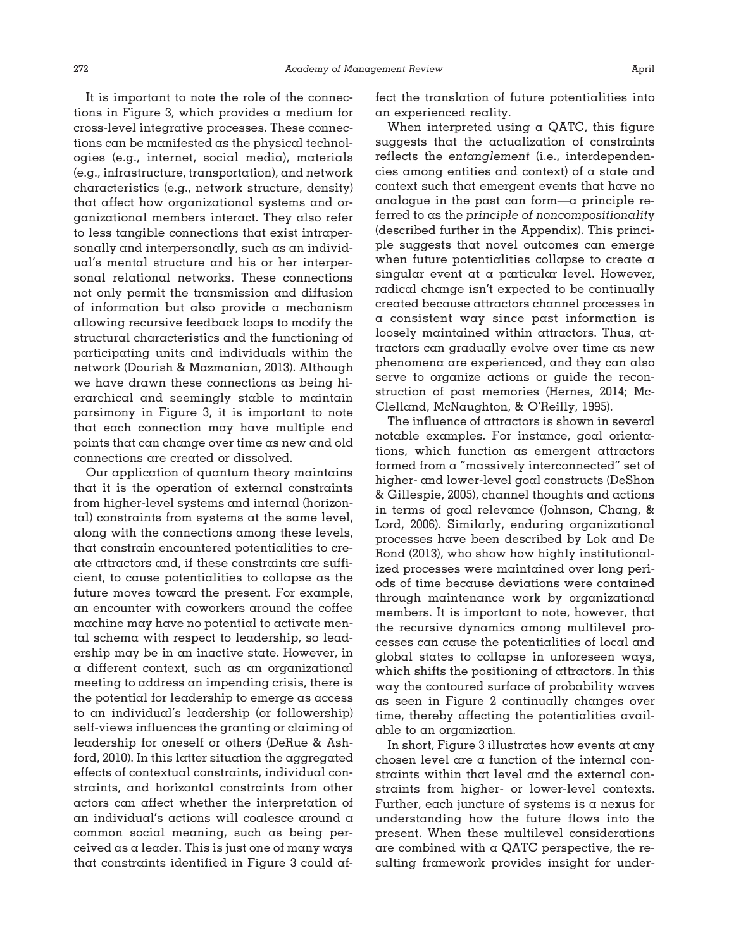It is important to note the role of the connections in Figure 3, which provides a medium for cross-level integrative processes. These connections can be manifested as the physical technologies (e.g., internet, social media), materials (e.g., infrastructure, transportation), and network characteristics (e.g., network structure, density) that affect how organizational systems and organizational members interact. They also refer to less tangible connections that exist intrapersonally and interpersonally, such as an individual's mental structure and his or her interpersonal relational networks. These connections not only permit the transmission and diffusion of information but also provide a mechanism allowing recursive feedback loops to modify the structural characteristics and the functioning of participating units and individuals within the network (Dourish & Mazmanian, 2013). Although we have drawn these connections as being hierarchical and seemingly stable to maintain parsimony in Figure 3, it is important to note that each connection may have multiple end points that can change over time as new and old connections are created or dissolved.

Our application of quantum theory maintains that it is the operation of external constraints from higher-level systems and internal (horizontal) constraints from systems at the same level, along with the connections among these levels, that constrain encountered potentialities to create attractors and, if these constraints are sufficient, to cause potentialities to collapse as the future moves toward the present. For example, an encounter with coworkers around the coffee machine may have no potential to activate mental schema with respect to leadership, so leadership may be in an inactive state. However, in a different context, such as an organizational meeting to address an impending crisis, there is the potential for leadership to emerge as access to an individual's leadership (or followership) self-views influences the granting or claiming of leadership for oneself or others (DeRue & Ashford, 2010). In this latter situation the aggregated effects of contextual constraints, individual constraints, and horizontal constraints from other actors can affect whether the interpretation of an individual's actions will coalesce around a common social meaning, such as being perceived as a leader. This is just one of many ways that constraints identified in Figure 3 could affect the translation of future potentialities into an experienced reality.

When interpreted using  $\alpha$  QATC, this figure suggests that the actualization of constraints reflects the *entanglement* (i.e., interdependencies among entities and context) of a state and context such that emergent events that have no analogue in the past can form—a principle referred to as the *principle of noncompositionalit*y (described further in the Appendix). This principle suggests that novel outcomes can emerge when future potentialities collapse to create a singular event at a particular level. However, radical change isn't expected to be continually created because attractors channel processes in a consistent way since past information is loosely maintained within attractors. Thus, attractors can gradually evolve over time as new phenomena are experienced, and they can also serve to organize actions or guide the reconstruction of past memories (Hernes, 2014; Mc-Clelland, McNaughton, & O'Reilly, 1995).

The influence of attractors is shown in several notable examples. For instance, goal orientations, which function as emergent attractors formed from a "massively interconnected" set of higher- and lower-level goal constructs (DeShon & Gillespie, 2005), channel thoughts and actions in terms of goal relevance (Johnson, Chang, & Lord, 2006). Similarly, enduring organizational processes have been described by Lok and De Rond (2013), who show how highly institutionalized processes were maintained over long periods of time because deviations were contained through maintenance work by organizational members. It is important to note, however, that the recursive dynamics among multilevel processes can cause the potentialities of local and global states to collapse in unforeseen ways, which shifts the positioning of attractors. In this way the contoured surface of probability waves as seen in Figure 2 continually changes over time, thereby affecting the potentialities available to an organization.

In short, Figure 3 illustrates how events at any chosen level are a function of the internal constraints within that level and the external constraints from higher- or lower-level contexts. Further, each juncture of systems is a nexus for understanding how the future flows into the present. When these multilevel considerations are combined with a QATC perspective, the resulting framework provides insight for under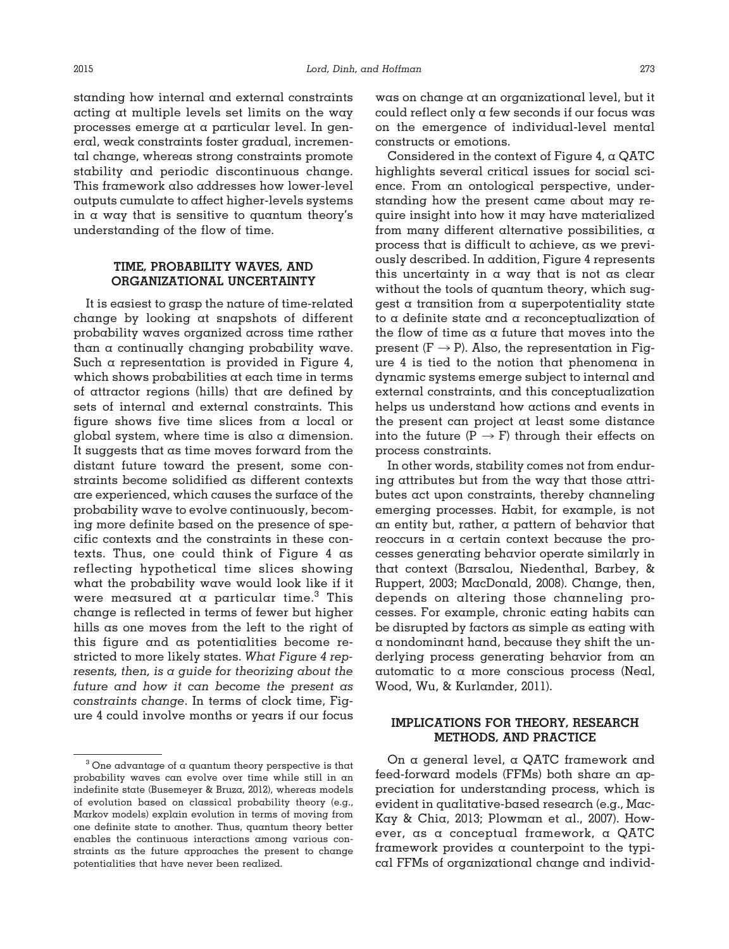standing how internal and external constraints acting at multiple levels set limits on the way processes emerge at a particular level. In general, weak constraints foster gradual, incremental change, whereas strong constraints promote stability and periodic discontinuous change. This framework also addresses how lower-level outputs cumulate to affect higher-levels systems in a way that is sensitive to quantum theory's understanding of the flow of time.

# **TIME, PROBABILITY WAVES, AND ORGANIZATIONAL UNCERTAINTY**

It is easiest to grasp the nature of time-related change by looking at snapshots of different probability waves organized across time rather than a continually changing probability wave. Such a representation is provided in Figure 4, which shows probabilities at each time in terms of attractor regions (hills) that are defined by sets of internal and external constraints. This figure shows five time slices from a local or global system, where time is also a dimension. It suggests that as time moves forward from the distant future toward the present, some constraints become solidified as different contexts are experienced, which causes the surface of the probability wave to evolve continuously, becoming more definite based on the presence of specific contexts and the constraints in these contexts. Thus, one could think of Figure 4 as reflecting hypothetical time slices showing what the probability wave would look like if it were measured at a particular time. $3$  This change is reflected in terms of fewer but higher hills as one moves from the left to the right of this figure and as potentialities become restricted to more likely states. *What Figure 4 represents, then, is a guide for theorizing about the future and how it can become the present as constraints change*. In terms of clock time, Figure 4 could involve months or years if our focus

was on change at an organizational level, but it could reflect only a few seconds if our focus was on the emergence of individual-level mental constructs or emotions.

Considered in the context of Figure 4,  $\alpha$  QATC highlights several critical issues for social science. From an ontological perspective, understanding how the present came about may require insight into how it may have materialized from many different alternative possibilities, a process that is difficult to achieve, as we previously described. In addition, Figure 4 represents this uncertainty in a way that is not as clear without the tools of quantum theory, which suggest a transition from a superpotentiality state to a definite state and a reconceptualization of the flow of time as a future that moves into the present ( $F \rightarrow P$ ). Also, the representation in Figure 4 is tied to the notion that phenomena in dynamic systems emerge subject to internal and external constraints, and this conceptualization helps us understand how actions and events in the present can project at least some distance into the future  $(P \rightarrow F)$  through their effects on process constraints.

In other words, stability comes not from enduring attributes but from the way that those attributes act upon constraints, thereby channeling emerging processes. Habit, for example, is not an entity but, rather, a pattern of behavior that reoccurs in a certain context because the processes generating behavior operate similarly in that context (Barsalou, Niedenthal, Barbey, & Ruppert, 2003; MacDonald, 2008). Change, then, depends on altering those channeling processes. For example, chronic eating habits can be disrupted by factors as simple as eating with a nondominant hand, because they shift the underlying process generating behavior from an automatic to a more conscious process (Neal, Wood, Wu, & Kurlander, 2011).

# **IMPLICATIONS FOR THEORY, RESEARCH METHODS, AND PRACTICE**

On a general level, a QATC framework and feed-forward models (FFMs) both share an appreciation for understanding process, which is evident in qualitative-based research (e.g., Mac-Kay & Chia, 2013; Plowman et al., 2007). However, as a conceptual framework, a QATC framework provides a counterpoint to the typical FFMs of organizational change and individ-

 $3$  One advantage of a quantum theory perspective is that probability waves can evolve over time while still in an indefinite state (Busemeyer & Bruza, 2012), whereas models of evolution based on classical probability theory (e.g., Markov models) explain evolution in terms of moving from one definite state to another. Thus, quantum theory better enables the continuous interactions among various constraints as the future approaches the present to change potentialities that have never been realized.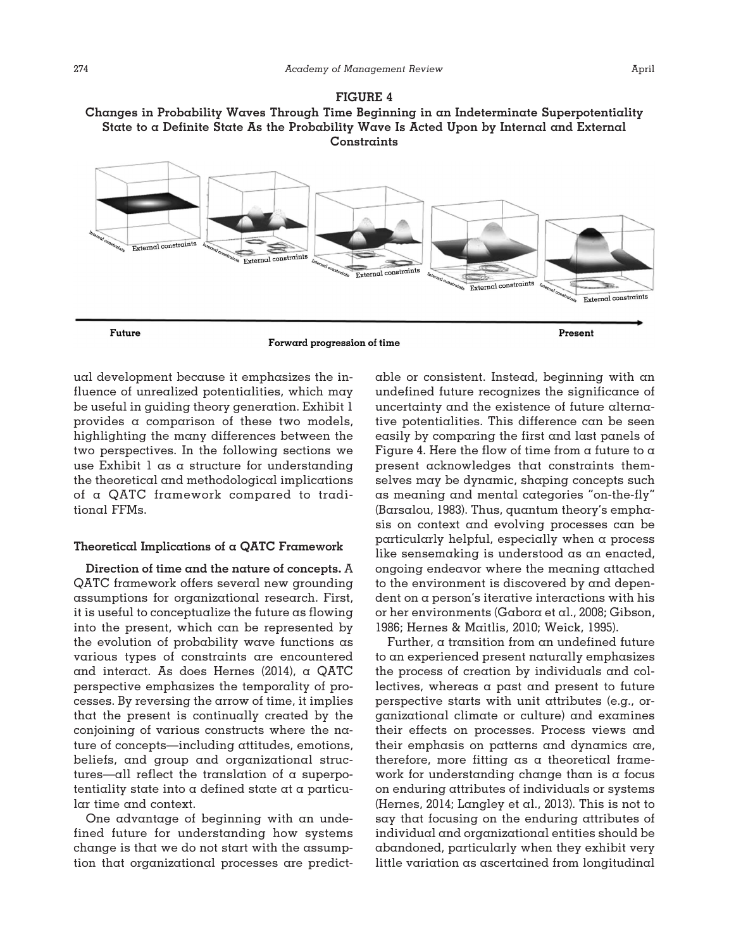



Forward progression of time

ual development because it emphasizes the influence of unrealized potentialities, which may be useful in guiding theory generation. Exhibit 1 provides a comparison of these two models, highlighting the many differences between the two perspectives. In the following sections we use Exhibit 1 as a structure for understanding the theoretical and methodological implications of a QATC framework compared to traditional FFMs.

# **Theoretical Implications of a QATC Framework**

**Direction of time and the nature of concepts.** A QATC framework offers several new grounding assumptions for organizational research. First, it is useful to conceptualize the future as flowing into the present, which can be represented by the evolution of probability wave functions as various types of constraints are encountered and interact. As does Hernes (2014), a QATC perspective emphasizes the temporality of processes. By reversing the arrow of time, it implies that the present is continually created by the conjoining of various constructs where the nature of concepts—including attitudes, emotions, beliefs, and group and organizational structures—all reflect the translation of a superpotentiality state into a defined state at a particular time and context.

One advantage of beginning with an undefined future for understanding how systems change is that we do not start with the assumption that organizational processes are predictable or consistent. Instead, beginning with an undefined future recognizes the significance of uncertainty and the existence of future alternative potentialities. This difference can be seen easily by comparing the first and last panels of Figure 4. Here the flow of time from  $\alpha$  future to  $\alpha$ present acknowledges that constraints themselves may be dynamic, shaping concepts such as meaning and mental categories "on-the-fly" (Barsalou, 1983). Thus, quantum theory's emphasis on context and evolving processes can be particularly helpful, especially when a process like sensemaking is understood as an enacted, ongoing endeavor where the meaning attached to the environment is discovered by and dependent on a person's iterative interactions with his or her environments (Gabora et al., 2008; Gibson, 1986; Hernes & Maitlis, 2010; Weick, 1995).

Further, a transition from an undefined future to an experienced present naturally emphasizes the process of creation by individuals and collectives, whereas a past and present to future perspective starts with unit attributes (e.g., organizational climate or culture) and examines their effects on processes. Process views and their emphasis on patterns and dynamics are, therefore, more fitting as a theoretical framework for understanding change than is a focus on enduring attributes of individuals or systems (Hernes, 2014; Langley et al., 2013). This is not to say that focusing on the enduring attributes of individual and organizational entities should be abandoned, particularly when they exhibit very little variation as ascertained from longitudinal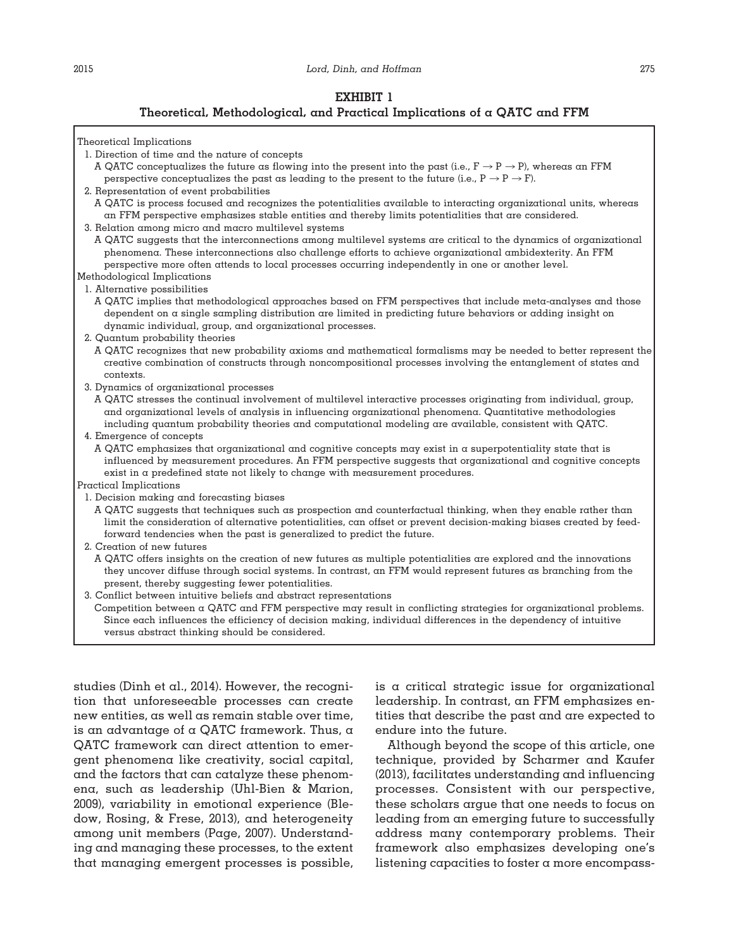### **Theoretical, Methodological, and Practical Implications of a QATC and FFM**



- 1. Direction of time and the nature of concepts
	- A QATC conceptualizes the future as flowing into the present into the past (i.e.,  $F \to P \to P$ ), whereas an FFM perspective conceptualizes the past as leading to the present to the future (i.e.,  $P \rightarrow P \rightarrow F$ ).
- 2. Representation of event probabilities
	- A QATC is process focused and recognizes the potentialities available to interacting organizational units, whereas an FFM perspective emphasizes stable entities and thereby limits potentialities that are considered.
- 3. Relation among micro and macro multilevel systems
- A QATC suggests that the interconnections among multilevel systems are critical to the dynamics of organizational phenomena. These interconnections also challenge efforts to achieve organizational ambidexterity. An FFM perspective more often attends to local processes occurring independently in one or another level.
- Methodological Implications
- 1. Alternative possibilities
	- A QATC implies that methodological approaches based on FFM perspectives that include meta-analyses and those dependent on a single sampling distribution are limited in predicting future behaviors or adding insight on dynamic individual, group, and organizational processes.
- 2. Quantum probability theories
- A QATC recognizes that new probability axioms and mathematical formalisms may be needed to better represent the creative combination of constructs through noncompositional processes involving the entanglement of states and contexts.
- 3. Dynamics of organizational processes
	- A QATC stresses the continual involvement of multilevel interactive processes originating from individual, group, and organizational levels of analysis in influencing organizational phenomena. Quantitative methodologies including quantum probability theories and computational modeling are available, consistent with QATC.
- 4. Emergence of concepts

A QATC emphasizes that organizational and cognitive concepts may exist in a superpotentiality state that is influenced by measurement procedures. An FFM perspective suggests that organizational and cognitive concepts exist in a predefined state not likely to change with measurement procedures.

- Practical Implications
- 1. Decision making and forecasting biases
- A QATC suggests that techniques such as prospection and counterfactual thinking, when they enable rather than limit the consideration of alternative potentialities, can offset or prevent decision-making biases created by feedforward tendencies when the past is generalized to predict the future.
- 2. Creation of new futures
	- A QATC offers insights on the creation of new futures as multiple potentialities are explored and the innovations they uncover diffuse through social systems. In contrast, an FFM would represent futures as branching from the present, thereby suggesting fewer potentialities.
- 3. Conflict between intuitive beliefs and abstract representations

Competition between a QATC and FFM perspective may result in conflicting strategies for organizational problems. Since each influences the efficiency of decision making, individual differences in the dependency of intuitive versus abstract thinking should be considered.

studies (Dinh et al., 2014). However, the recognition that unforeseeable processes can create new entities, as well as remain stable over time, is an advantage of a QATC framework. Thus, a QATC framework can direct attention to emergent phenomena like creativity, social capital, and the factors that can catalyze these phenomena, such as leadership (Uhl-Bien & Marion, 2009), variability in emotional experience (Bledow, Rosing, & Frese, 2013), and heterogeneity among unit members (Page, 2007). Understanding and managing these processes, to the extent that managing emergent processes is possible,

is a critical strategic issue for organizational leadership. In contrast, an FFM emphasizes entities that describe the past and are expected to endure into the future.

Although beyond the scope of this article, one technique, provided by Scharmer and Kaufer (2013), facilitates understanding and influencing processes. Consistent with our perspective, these scholars argue that one needs to focus on leading from an emerging future to successfully address many contemporary problems. Their framework also emphasizes developing one's listening capacities to foster a more encompass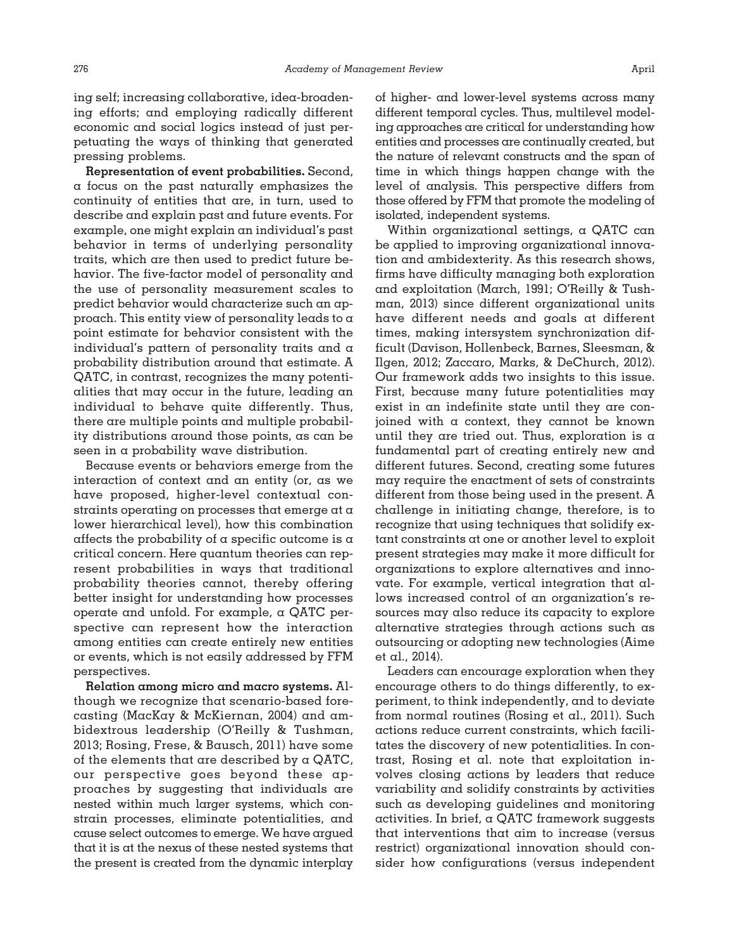ing self; increasing collaborative, idea-broadening efforts; and employing radically different economic and social logics instead of just perpetuating the ways of thinking that generated pressing problems.

**Representation of event probabilities.** Second, a focus on the past naturally emphasizes the continuity of entities that are, in turn, used to describe and explain past and future events. For example, one might explain an individual's past behavior in terms of underlying personality traits, which are then used to predict future behavior. The five-factor model of personality and the use of personality measurement scales to predict behavior would characterize such an approach. This entity view of personality leads to a point estimate for behavior consistent with the individual's pattern of personality traits and a probability distribution around that estimate. A QATC, in contrast, recognizes the many potentialities that may occur in the future, leading an individual to behave quite differently. Thus, there are multiple points and multiple probability distributions around those points, as can be seen in a probability wave distribution.

Because events or behaviors emerge from the interaction of context and an entity (or, as we have proposed, higher-level contextual constraints operating on processes that emerge at a lower hierarchical level), how this combination affects the probability of a specific outcome is  $\alpha$ critical concern. Here quantum theories can represent probabilities in ways that traditional probability theories cannot, thereby offering better insight for understanding how processes operate and unfold. For example, a QATC perspective can represent how the interaction among entities can create entirely new entities or events, which is not easily addressed by FFM perspectives.

**Relation among micro and macro systems.** Although we recognize that scenario-based forecasting (MacKay & McKiernan, 2004) and ambidextrous leadership (O'Reilly & Tushman, 2013; Rosing, Frese, & Bausch, 2011) have some of the elements that are described by  $\alpha$  QATC, our perspective goes beyond these approaches by suggesting that individuals are nested within much larger systems, which constrain processes, eliminate potentialities, and cause select outcomes to emerge. We have argued that it is at the nexus of these nested systems that the present is created from the dynamic interplay

of higher- and lower-level systems across many different temporal cycles. Thus, multilevel modeling approaches are critical for understanding how entities and processes are continually created, but the nature of relevant constructs and the span of time in which things happen change with the level of analysis. This perspective differs from those offered by FFM that promote the modeling of isolated, independent systems.

Within organizational settings, a QATC can be applied to improving organizational innovation and ambidexterity. As this research shows, firms have difficulty managing both exploration and exploitation (March, 1991; O'Reilly & Tushman, 2013) since different organizational units have different needs and goals at different times, making intersystem synchronization difficult (Davison, Hollenbeck, Barnes, Sleesman, & Ilgen, 2012; Zaccaro, Marks, & DeChurch, 2012). Our framework adds two insights to this issue. First, because many future potentialities may exist in an indefinite state until they are conjoined with a context, they cannot be known until they are tried out. Thus, exploration is  $\alpha$ fundamental part of creating entirely new and different futures. Second, creating some futures may require the enactment of sets of constraints different from those being used in the present. A challenge in initiating change, therefore, is to recognize that using techniques that solidify extant constraints at one or another level to exploit present strategies may make it more difficult for organizations to explore alternatives and innovate. For example, vertical integration that allows increased control of an organization's resources may also reduce its capacity to explore alternative strategies through actions such as outsourcing or adopting new technologies (Aime et al., 2014).

Leaders can encourage exploration when they encourage others to do things differently, to experiment, to think independently, and to deviate from normal routines (Rosing et al., 2011). Such actions reduce current constraints, which facilitates the discovery of new potentialities. In contrast, Rosing et al. note that exploitation involves closing actions by leaders that reduce variability and solidify constraints by activities such as developing guidelines and monitoring activities. In brief, a QATC framework suggests that interventions that aim to increase (versus restrict) organizational innovation should consider how configurations (versus independent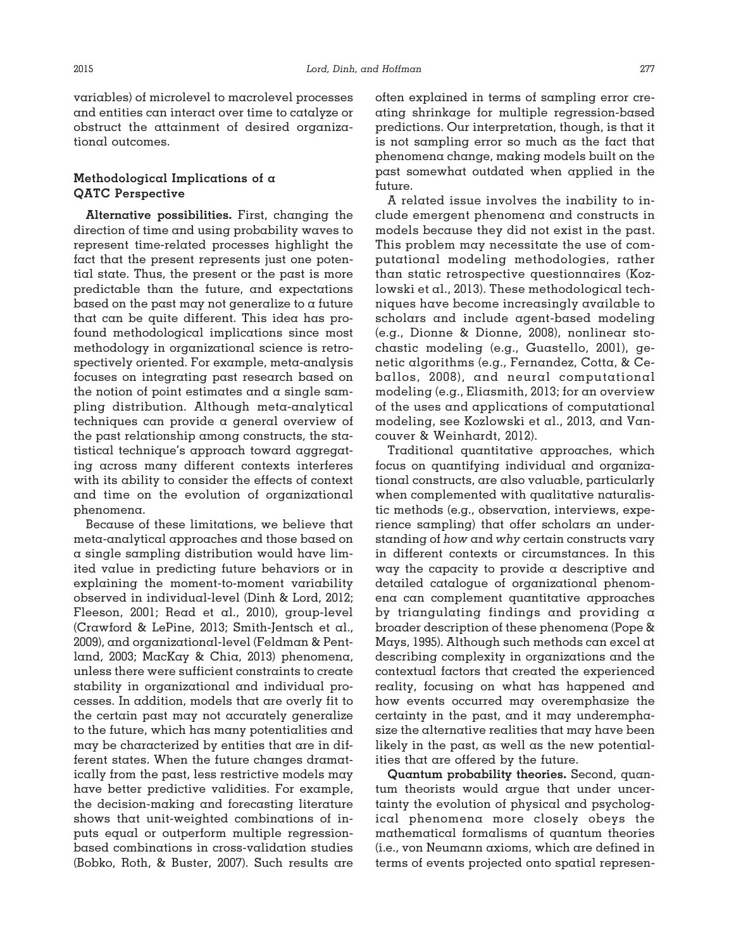variables) of microlevel to macrolevel processes and entities can interact over time to catalyze or obstruct the attainment of desired organizational outcomes.

# **Methodological Implications of a QATC Perspective**

**Alternative possibilities.** First, changing the direction of time and using probability waves to represent time-related processes highlight the fact that the present represents just one potential state. Thus, the present or the past is more predictable than the future, and expectations based on the past may not generalize to a future that can be quite different. This idea has profound methodological implications since most methodology in organizational science is retrospectively oriented. For example, meta-analysis focuses on integrating past research based on the notion of point estimates and  $\alpha$  single sampling distribution. Although meta-analytical techniques can provide a general overview of the past relationship among constructs, the statistical technique's approach toward aggregating across many different contexts interferes with its ability to consider the effects of context and time on the evolution of organizational phenomena.

Because of these limitations, we believe that meta-analytical approaches and those based on a single sampling distribution would have limited value in predicting future behaviors or in explaining the moment-to-moment variability observed in individual-level (Dinh & Lord, 2012; Fleeson, 2001; Read et al., 2010), group-level (Crawford & LePine, 2013; Smith-Jentsch et al., 2009), and organizational-level (Feldman & Pentland, 2003; MacKay & Chia, 2013) phenomena, unless there were sufficient constraints to create stability in organizational and individual processes. In addition, models that are overly fit to the certain past may not accurately generalize to the future, which has many potentialities and may be characterized by entities that are in different states. When the future changes dramatically from the past, less restrictive models may have better predictive validities. For example, the decision-making and forecasting literature shows that unit-weighted combinations of inputs equal or outperform multiple regressionbased combinations in cross-validation studies (Bobko, Roth, & Buster, 2007). Such results are

often explained in terms of sampling error creating shrinkage for multiple regression-based predictions. Our interpretation, though, is that it is not sampling error so much as the fact that phenomena change, making models built on the past somewhat outdated when applied in the future.

A related issue involves the inability to include emergent phenomena and constructs in models because they did not exist in the past. This problem may necessitate the use of computational modeling methodologies, rather than static retrospective questionnaires (Kozlowski et al., 2013). These methodological techniques have become increasingly available to scholars and include agent-based modeling (e.g., Dionne & Dionne, 2008), nonlinear stochastic modeling (e.g., Guastello, 2001), genetic algorithms (e.g., Fernandez, Cotta, & Ceballos, 2008), and neural computational modeling (e.g., Eliasmith, 2013; for an overview of the uses and applications of computational modeling, see Kozlowski et al., 2013, and Vancouver & Weinhardt, 2012).

Traditional quantitative approaches, which focus on quantifying individual and organizational constructs, are also valuable, particularly when complemented with qualitative naturalistic methods (e.g., observation, interviews, experience sampling) that offer scholars an understanding of *how* and *why* certain constructs vary in different contexts or circumstances. In this way the capacity to provide a descriptive and detailed catalogue of organizational phenomena can complement quantitative approaches by triangulating findings and providing a broader description of these phenomena (Pope & Mays, 1995). Although such methods can excel at describing complexity in organizations and the contextual factors that created the experienced reality, focusing on what has happened and how events occurred may overemphasize the certainty in the past, and it may underemphasize the alternative realities that may have been likely in the past, as well as the new potentialities that are offered by the future.

**Quantum probability theories.** Second, quantum theorists would argue that under uncertainty the evolution of physical and psychological phenomena more closely obeys the mathematical formalisms of quantum theories (i.e., von Neumann axioms, which are defined in terms of events projected onto spatial represen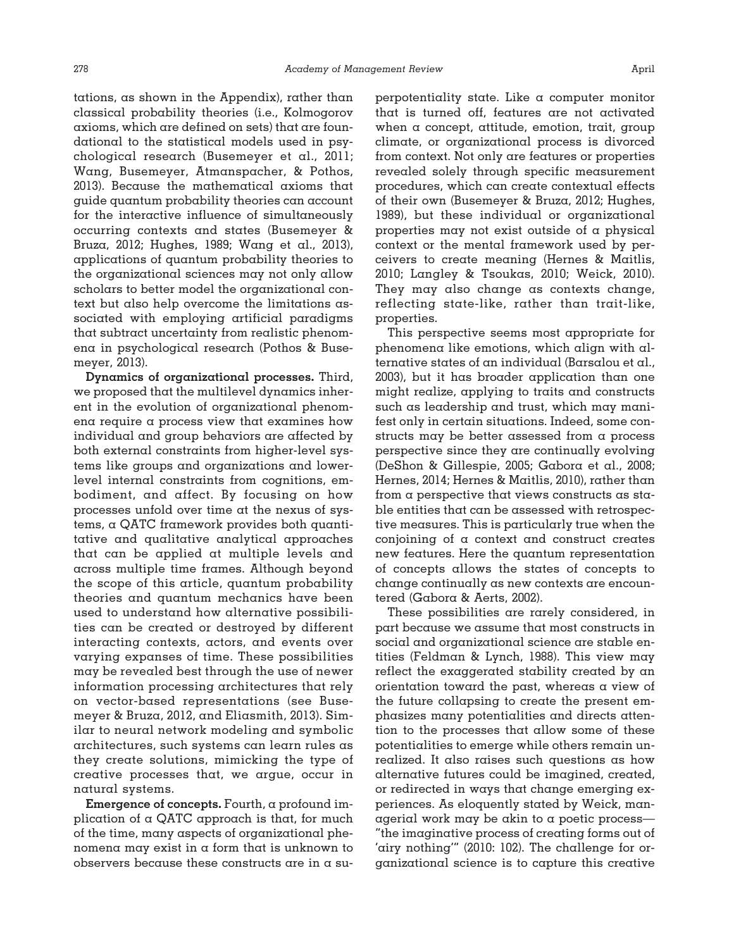tations, as shown in the Appendix), rather than classical probability theories (i.e., Kolmogorov axioms, which are defined on sets) that are foundational to the statistical models used in psychological research (Busemeyer et al., 2011; Wang, Busemeyer, Atmanspacher, & Pothos, 2013). Because the mathematical axioms that guide quantum probability theories can account for the interactive influence of simultaneously occurring contexts and states (Busemeyer & Bruza, 2012; Hughes, 1989; Wang et al., 2013), applications of quantum probability theories to the organizational sciences may not only allow scholars to better model the organizational context but also help overcome the limitations associated with employing artificial paradigms that subtract uncertainty from realistic phenomena in psychological research (Pothos & Busemeyer, 2013).

**Dynamics of organizational processes.** Third, we proposed that the multilevel dynamics inherent in the evolution of organizational phenomena require a process view that examines how individual and group behaviors are affected by both external constraints from higher-level systems like groups and organizations and lowerlevel internal constraints from cognitions, embodiment, and affect. By focusing on how processes unfold over time at the nexus of systems, a QATC framework provides both quantitative and qualitative analytical approaches that can be applied at multiple levels and across multiple time frames. Although beyond the scope of this article, quantum probability theories and quantum mechanics have been used to understand how alternative possibilities can be created or destroyed by different interacting contexts, actors, and events over varying expanses of time. These possibilities may be revealed best through the use of newer information processing architectures that rely on vector-based representations (see Busemeyer & Bruza, 2012, and Eliasmith, 2013). Similar to neural network modeling and symbolic architectures, such systems can learn rules as they create solutions, mimicking the type of creative processes that, we argue, occur in natural systems.

**Emergence of concepts.** Fourth, a profound implication of a QATC approach is that, for much of the time, many aspects of organizational phenomena may exist in a form that is unknown to observers because these constructs are in a superpotentiality state. Like a computer monitor that is turned off, features are not activated when a concept, attitude, emotion, trait, group climate, or organizational process is divorced from context. Not only are features or properties revealed solely through specific measurement procedures, which can create contextual effects of their own (Busemeyer & Bruza, 2012; Hughes, 1989), but these individual or organizational properties may not exist outside of a physical context or the mental framework used by perceivers to create meaning (Hernes & Maitlis, 2010; Langley & Tsoukas, 2010; Weick, 2010). They may also change as contexts change, reflecting state-like, rather than trait-like, properties.

This perspective seems most appropriate for phenomena like emotions, which align with alternative states of an individual (Barsalou et al., 2003), but it has broader application than one might realize, applying to traits and constructs such as leadership and trust, which may manifest only in certain situations. Indeed, some constructs may be better assessed from a process perspective since they are continually evolving (DeShon & Gillespie, 2005; Gabora et al., 2008; Hernes, 2014; Hernes & Maitlis, 2010), rather than from a perspective that views constructs as stable entities that can be assessed with retrospective measures. This is particularly true when the conjoining of a context and construct creates new features. Here the quantum representation of concepts allows the states of concepts to change continually as new contexts are encountered (Gabora & Aerts, 2002).

These possibilities are rarely considered, in part because we assume that most constructs in social and organizational science are stable entities (Feldman & Lynch, 1988). This view may reflect the exaggerated stability created by an orientation toward the past, whereas a view of the future collapsing to create the present emphasizes many potentialities and directs attention to the processes that allow some of these potentialities to emerge while others remain unrealized. It also raises such questions as how alternative futures could be imagined, created, or redirected in ways that change emerging experiences. As eloquently stated by Weick, managerial work may be akin to a poetic process— "the imaginative process of creating forms out of 'airy nothing'" (2010: 102). The challenge for organizational science is to capture this creative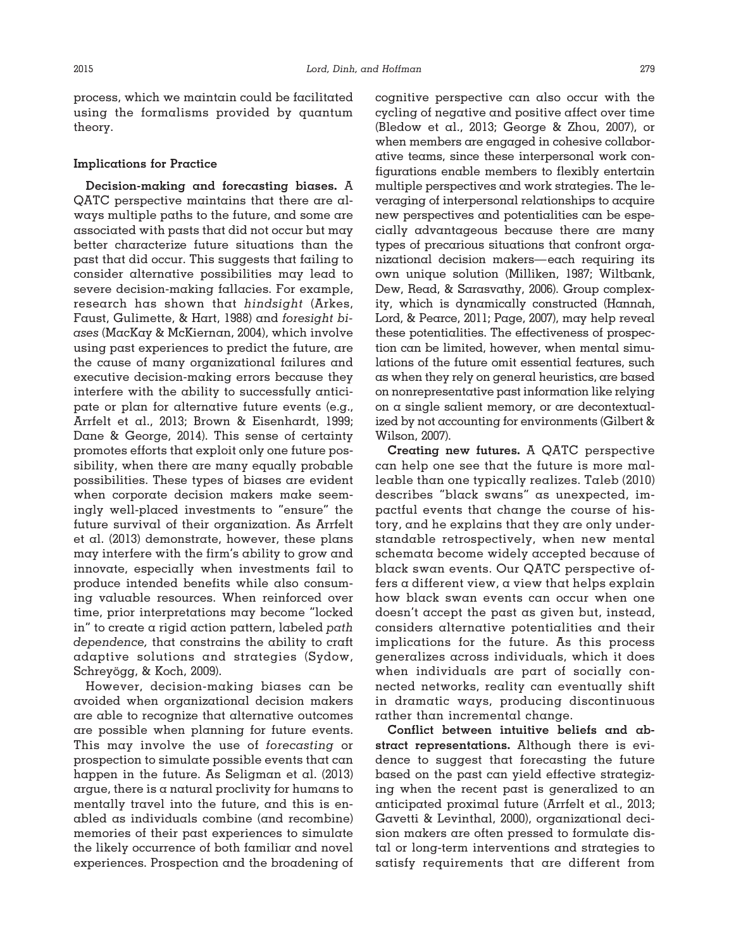process, which we maintain could be facilitated using the formalisms provided by quantum theory.

### **Implications for Practice**

**Decision-making and forecasting biases.** A QATC perspective maintains that there are always multiple paths to the future, and some are associated with pasts that did not occur but may better characterize future situations than the past that did occur. This suggests that failing to consider alternative possibilities may lead to severe decision-making fallacies. For example, research has shown that *hindsight* (Arkes, Faust, Gulimette, & Hart, 1988) and *foresight biases* (MacKay & McKiernan, 2004), which involve using past experiences to predict the future, are the cause of many organizational failures and executive decision-making errors because they interfere with the ability to successfully anticipate or plan for alternative future events (e.g., Arrfelt et al., 2013; Brown & Eisenhardt, 1999; Dane & George, 2014). This sense of certainty promotes efforts that exploit only one future possibility, when there are many equally probable possibilities. These types of biases are evident when corporate decision makers make seemingly well-placed investments to "ensure" the future survival of their organization. As Arrfelt et al. (2013) demonstrate, however, these plans may interfere with the firm's ability to grow and innovate, especially when investments fail to produce intended benefits while also consuming valuable resources. When reinforced over time, prior interpretations may become "locked in" to create a rigid action pattern, labeled *path dependence,* that constrains the ability to craft adaptive solutions and strategies (Sydow, Schreyögg, & Koch, 2009).

However, decision-making biases can be avoided when organizational decision makers are able to recognize that alternative outcomes are possible when planning for future events. This may involve the use of *forecasting* or prospection to simulate possible events that can happen in the future. As Seligman et al. (2013) argue, there is a natural proclivity for humans to mentally travel into the future, and this is enabled as individuals combine (and recombine) memories of their past experiences to simulate the likely occurrence of both familiar and novel experiences. Prospection and the broadening of cognitive perspective can also occur with the cycling of negative and positive affect over time (Bledow et al., 2013; George & Zhou, 2007), or when members are engaged in cohesive collaborative teams, since these interpersonal work configurations enable members to flexibly entertain multiple perspectives and work strategies. The leveraging of interpersonal relationships to acquire new perspectives and potentialities can be especially advantageous because there are many types of precarious situations that confront organizational decision makers—each requiring its own unique solution (Milliken, 1987; Wiltbank, Dew, Read, & Sarasvathy, 2006). Group complexity, which is dynamically constructed (Hannah, Lord, & Pearce, 2011; Page, 2007), may help reveal these potentialities. The effectiveness of prospection can be limited, however, when mental simulations of the future omit essential features, such as when they rely on general heuristics, are based on nonrepresentative past information like relying on a single salient memory, or are decontextualized by not accounting for environments (Gilbert & Wilson, 2007).

**Creating new futures.** A QATC perspective can help one see that the future is more malleable than one typically realizes. Taleb (2010) describes "black swans" as unexpected, impactful events that change the course of history, and he explains that they are only understandable retrospectively, when new mental schemata become widely accepted because of black swan events. Our QATC perspective offers a different view, a view that helps explain how black swan events can occur when one doesn't accept the past as given but, instead, considers alternative potentialities and their implications for the future. As this process generalizes across individuals, which it does when individuals are part of socially connected networks, reality can eventually shift in dramatic ways, producing discontinuous rather than incremental change.

**Conflict between intuitive beliefs and abstract representations.** Although there is evidence to suggest that forecasting the future based on the past can yield effective strategizing when the recent past is generalized to an anticipated proximal future (Arrfelt et al., 2013; Gavetti & Levinthal, 2000), organizational decision makers are often pressed to formulate distal or long-term interventions and strategies to satisfy requirements that are different from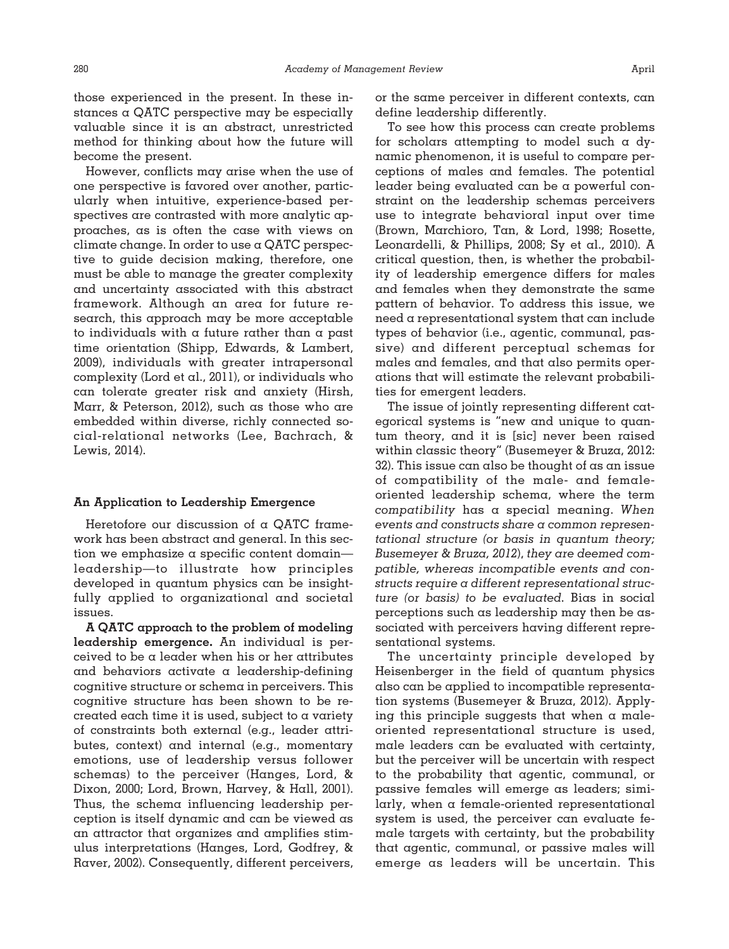those experienced in the present. In these instances a QATC perspective may be especially valuable since it is an abstract, unrestricted method for thinking about how the future will become the present.

However, conflicts may arise when the use of one perspective is favored over another, particularly when intuitive, experience-based perspectives are contrasted with more analytic approaches, as is often the case with views on climate change. In order to use a QATC perspective to guide decision making, therefore, one must be able to manage the greater complexity and uncertainty associated with this abstract framework. Although an area for future research, this approach may be more acceptable to individuals with a future rather than a past time orientation (Shipp, Edwards, & Lambert, 2009), individuals with greater intrapersonal complexity (Lord et al., 2011), or individuals who can tolerate greater risk and anxiety (Hirsh, Marr, & Peterson, 2012), such as those who are embedded within diverse, richly connected social-relational networks (Lee, Bachrach, & Lewis, 2014).

#### **An Application to Leadership Emergence**

Heretofore our discussion of a QATC framework has been abstract and general. In this section we emphasize a specific content domain leadership—to illustrate how principles developed in quantum physics can be insightfully applied to organizational and societal issues.

**A QATC approach to the problem of modeling leadership emergence.** An individual is perceived to be a leader when his or her attributes and behaviors activate a leadership-defining cognitive structure or schema in perceivers. This cognitive structure has been shown to be recreated each time it is used, subject to a variety of constraints both external (e.g., leader attributes, context) and internal (e.g., momentary emotions, use of leadership versus follower schemas) to the perceiver (Hanges, Lord, & Dixon, 2000; Lord, Brown, Harvey, & Hall, 2001). Thus, the schema influencing leadership perception is itself dynamic and can be viewed as an attractor that organizes and amplifies stimulus interpretations (Hanges, Lord, Godfrey, & Raver, 2002). Consequently, different perceivers,

or the same perceiver in different contexts, can define leadership differently.

To see how this process can create problems for scholars attempting to model such a dynamic phenomenon, it is useful to compare perceptions of males and females. The potential leader being evaluated can be a powerful constraint on the leadership schemas perceivers use to integrate behavioral input over time (Brown, Marchioro, Tan, & Lord, 1998; Rosette, Leonardelli, & Phillips, 2008; Sy et al., 2010). A critical question, then, is whether the probability of leadership emergence differs for males and females when they demonstrate the same pattern of behavior. To address this issue, we need a representational system that can include types of behavior (i.e., agentic, communal, passive) and different perceptual schemas for males and females, and that also permits operations that will estimate the relevant probabilities for emergent leaders.

The issue of jointly representing different categorical systems is "new and unique to quantum theory, and it is [sic] never been raised within classic theory" (Busemeyer & Bruza, 2012: 32). This issue can also be thought of as an issue of compatibility of the male- and femaleoriented leadership schema, where the term *compatibility* has a special meaning. *When events and constructs share a common representational structure (or basis in quantum theory; Busemeyer & Bruza, 2012*), *they are deemed compatible, whereas incompatible events and constructs require a different representational structure (or basis) to be evaluated.* Bias in social perceptions such as leadership may then be associated with perceivers having different representational systems.

The uncertainty principle developed by Heisenberger in the field of quantum physics also can be applied to incompatible representation systems (Busemeyer & Bruza, 2012). Applying this principle suggests that when a maleoriented representational structure is used, male leaders can be evaluated with certainty, but the perceiver will be uncertain with respect to the probability that agentic, communal, or passive females will emerge as leaders; similarly, when a female-oriented representational system is used, the perceiver can evaluate female targets with certainty, but the probability that agentic, communal, or passive males will emerge as leaders will be uncertain. This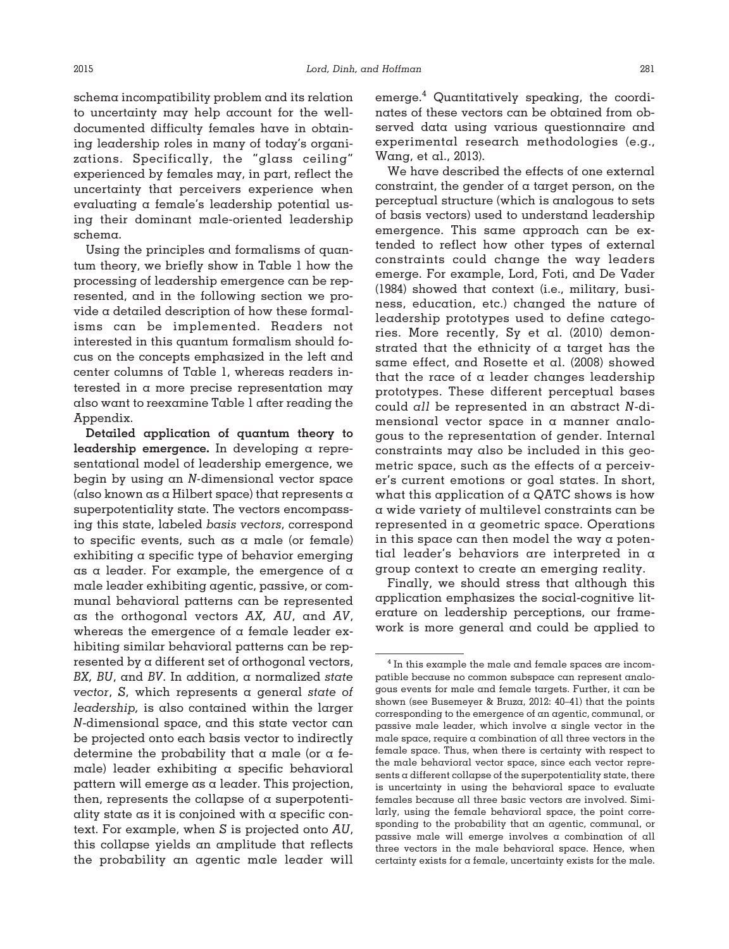schema incompatibility problem and its relation to uncertainty may help account for the welldocumented difficulty females have in obtaining leadership roles in many of today's organizations. Specifically, the "glass ceiling" experienced by females may, in part, reflect the uncertainty that perceivers experience when evaluating a female's leadership potential using their dominant male-oriented leadership schema.

Using the principles and formalisms of quantum theory, we briefly show in Table 1 how the processing of leadership emergence can be represented, and in the following section we provide a detailed description of how these formalisms can be implemented. Readers not interested in this quantum formalism should focus on the concepts emphasized in the left and center columns of Table 1, whereas readers interested in a more precise representation may also want to reexamine Table 1 after reading the Appendix.

**Detailed application of quantum theory to leadership emergence.** In developing a representational model of leadership emergence, we begin by using an *N-*dimensional vector space (also known as a Hilbert space) that represents a superpotentiality state. The vectors encompassing this state, labeled *basis vectors*, correspond to specific events, such as a male (or female) exhibiting a specific type of behavior emerging as a leader. For example, the emergence of a male leader exhibiting agentic, passive, or communal behavioral patterns can be represented as the orthogonal vectors *AX, AU*, and *AV*, whereas the emergence of a female leader exhibiting similar behavioral patterns can be represented by a different set of orthogonal vectors, *BX, BU*, and *BV*. In addition, a normalized *state vector*, *S*, which represents a general *state of leadership,* is also contained within the larger *N*-dimensional space, and this state vector can be projected onto each basis vector to indirectly determine the probability that  $\alpha$  male (or  $\alpha$  female) leader exhibiting a specific behavioral pattern will emerge as a leader. This projection, then, represents the collapse of  $\alpha$  superpotentiality state as it is conjoined with a specific context. For example, when *S* is projected onto *AU*, this collapse yields an amplitude that reflects the probability an agentic male leader will

emerge. $4$  Quantitatively speaking, the coordinates of these vectors can be obtained from observed data using various questionnaire and experimental research methodologies (e.g., Wang, et al., 2013).

We have described the effects of one external constraint, the gender of  $\alpha$  target person, on the perceptual structure (which is analogous to sets of basis vectors) used to understand leadership emergence. This same approach can be extended to reflect how other types of external constraints could change the way leaders emerge. For example, Lord, Foti, and De Vader (1984) showed that context (i.e., military, business, education, etc.) changed the nature of leadership prototypes used to define categories. More recently, Sy et al. (2010) demonstrated that the ethnicity of a target has the same effect, and Rosette et al. (2008) showed that the race of a leader changes leadership prototypes. These different perceptual bases could *all* be represented in an abstract *N*-dimensional vector space in a manner analogous to the representation of gender. Internal constraints may also be included in this geometric space, such as the effects of a perceiver's current emotions or goal states. In short, what this application of a QATC shows is how a wide variety of multilevel constraints can be represented in a geometric space. Operations in this space can then model the way a potential leader's behaviors are interpreted in a group context to create an emerging reality.

Finally, we should stress that although this application emphasizes the social-cognitive literature on leadership perceptions, our framework is more general and could be applied to

<sup>&</sup>lt;sup>4</sup> In this example the male and female spaces are incompatible because no common subspace can represent analogous events for male and female targets. Further, it can be shown (see Busemeyer & Bruza, 2012: 40–41) that the points corresponding to the emergence of an agentic, communal, or passive male leader, which involve a single vector in the male space, require a combination of all three vectors in the female space. Thus, when there is certainty with respect to the male behavioral vector space, since each vector represents a different collapse of the superpotentiality state, there is uncertainty in using the behavioral space to evaluate females because all three basic vectors are involved. Similarly, using the female behavioral space, the point corresponding to the probability that an agentic, communal, or passive male will emerge involves a combination of all three vectors in the male behavioral space. Hence, when certainty exists for a female, uncertainty exists for the male.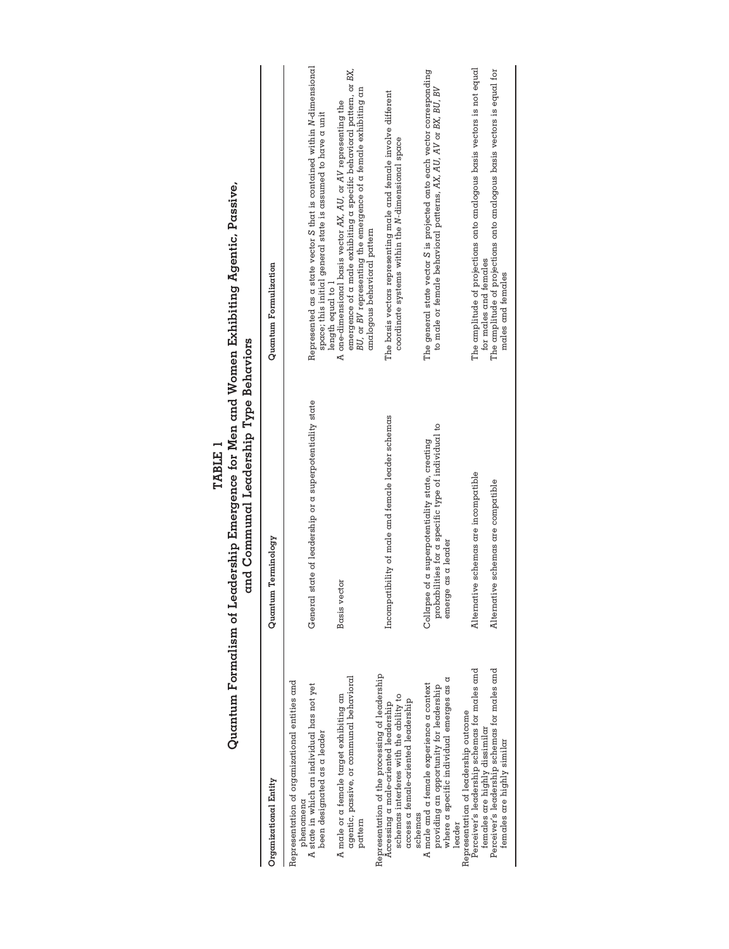| Quantum Formalism of                                                                                                                                                                                | Leadership Emergence for Men and Women Exhibiting Agentic, Passive,<br>and Communal Leadership Type Behaviors<br>TABLE 1    |                                                                                                                                                                                                                                         |
|-----------------------------------------------------------------------------------------------------------------------------------------------------------------------------------------------------|-----------------------------------------------------------------------------------------------------------------------------|-----------------------------------------------------------------------------------------------------------------------------------------------------------------------------------------------------------------------------------------|
| Organizational Entity                                                                                                                                                                               | Quantum Terminology                                                                                                         | Quantum Formulization                                                                                                                                                                                                                   |
| Representation of organizational entities and<br>A state in which an individual has not yet<br>been designated as a leader<br>phenomena                                                             | General state of leadership or a superpotentiality state                                                                    | Represented as a state vector S that is contained within N-dimensional<br>space; this initial general state is assumed to have a unit<br>length equal to 1                                                                              |
| agentic, passive, or communal behavioral<br>A male or a female target exhibiting an<br>pattern                                                                                                      | Basis vector                                                                                                                | emergence of a male exhibiting a specific behavioral pattern, or BX,<br>BU, or BV representing the emergence of a female exhibiting an<br>A one-dimensional basis vector AX, AU, or AV representing the<br>analogous behavioral pattern |
| Representation of the processing of leadership<br>schemas interferes with the ability to<br>access a female-oriented leadership<br>Accessing a male-oriented leadership<br>schemas                  | Incompatibility of male and female leader schemas                                                                           | The basis vectors representing male and female involve different<br>coordinate systems within the N-dimensional space                                                                                                                   |
| where a specific individual emerges as a<br>A male and a female experience a context<br>providing an opportunity for leadership<br>leader                                                           | probabilities for a specific type of individual to<br>Collapse of a superpotentiality state, creating<br>emerge as a leader | The general state vector S is projected onto each vector corresponding<br>to male or female behavioral patterns, AX, AU, AV or BX, BU, BV                                                                                               |
| Perceiver's leadership schemas for males and<br>Perceiver's leadership schemas for males and<br>Representation of leadership outcome<br>females are highly dissimilar<br>females are highly similar | Alternative schemas are incompatible<br>Alternative schemas are compatible                                                  | The amplitude of projections onto analogous basis vectors is not equal<br>The amplitude of projections onto analogous basis vectors is equal for<br>for males and females<br>males and temales                                          |
|                                                                                                                                                                                                     |                                                                                                                             |                                                                                                                                                                                                                                         |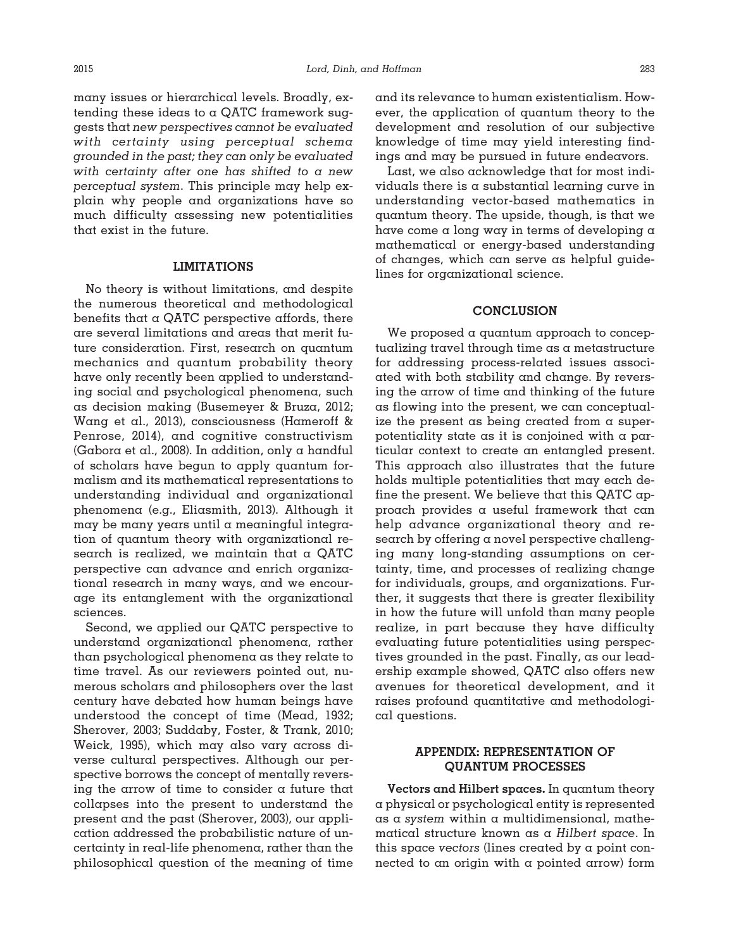many issues or hierarchical levels. Broadly, extending these ideas to a QATC framework suggests that *new perspectives cannot be evaluated with certainty using perceptual schema grounded in the past; they can only be evaluated with certainty after one has shifted to a new perceptual system*. This principle may help explain why people and organizations have so much difficulty assessing new potentialities

#### **LIMITATIONS**

that exist in the future.

No theory is without limitations, and despite the numerous theoretical and methodological benefits that  $\alpha$  QATC perspective affords, there are several limitations and areas that merit future consideration. First, research on quantum mechanics and quantum probability theory have only recently been applied to understanding social and psychological phenomena, such as decision making (Busemeyer & Bruza, 2012; Wang et al., 2013), consciousness (Hameroff & Penrose, 2014), and cognitive constructivism (Gabora et al., 2008). In addition, only a handful of scholars have begun to apply quantum formalism and its mathematical representations to understanding individual and organizational phenomena (e.g., Eliasmith, 2013). Although it may be many years until a meaningful integration of quantum theory with organizational research is realized, we maintain that a QATC perspective can advance and enrich organizational research in many ways, and we encourage its entanglement with the organizational sciences.

Second, we applied our QATC perspective to understand organizational phenomena, rather than psychological phenomena as they relate to time travel. As our reviewers pointed out, numerous scholars and philosophers over the last century have debated how human beings have understood the concept of time (Mead, 1932; Sherover, 2003; Suddaby, Foster, & Trank, 2010; Weick, 1995), which may also vary across diverse cultural perspectives. Although our perspective borrows the concept of mentally reversing the arrow of time to consider a future that collapses into the present to understand the present and the past (Sherover, 2003), our application addressed the probabilistic nature of uncertainty in real-life phenomena, rather than the philosophical question of the meaning of time

and its relevance to human existentialism. However, the application of quantum theory to the development and resolution of our subjective knowledge of time may yield interesting findings and may be pursued in future endeavors.

Last, we also acknowledge that for most individuals there is a substantial learning curve in understanding vector-based mathematics in quantum theory. The upside, though, is that we have come a long way in terms of developing a mathematical or energy-based understanding of changes, which can serve as helpful guidelines for organizational science.

## **CONCLUSION**

We proposed a quantum approach to conceptualizing travel through time as a metastructure for addressing process-related issues associated with both stability and change. By reversing the arrow of time and thinking of the future as flowing into the present, we can conceptualize the present as being created from a superpotentiality state as it is conjoined with a particular context to create an entangled present. This approach also illustrates that the future holds multiple potentialities that may each define the present. We believe that this QATC approach provides a useful framework that can help advance organizational theory and research by offering a novel perspective challenging many long-standing assumptions on certainty, time, and processes of realizing change for individuals, groups, and organizations. Further, it suggests that there is greater flexibility in how the future will unfold than many people realize, in part because they have difficulty evaluating future potentialities using perspectives grounded in the past. Finally, as our leadership example showed, QATC also offers new avenues for theoretical development, and it raises profound quantitative and methodological questions.

# **APPENDIX: REPRESENTATION OF QUANTUM PROCESSES**

**Vectors and Hilbert spaces.** In quantum theory a physical or psychological entity is represented as a *system* within a multidimensional, mathematical structure known as a *Hilbert space*. In this space *vectors* (lines created by a point connected to an origin with a pointed arrow) form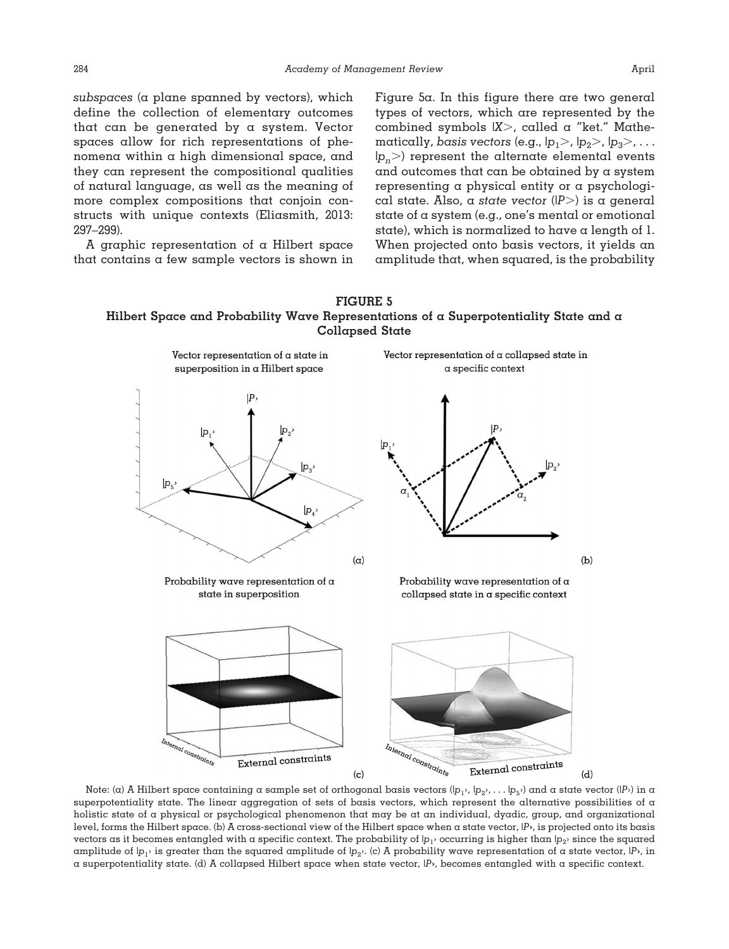*subspaces* (a plane spanned by vectors), which define the collection of elementary outcomes that can be generated by a system. Vector spaces allow for rich representations of phenomena within a high dimensional space, and they can represent the compositional qualities of natural language, as well as the meaning of more complex compositions that conjoin constructs with unique contexts (Eliasmith, 2013: 297–299).

A graphic representation of a Hilbert space that contains a few sample vectors is shown in Figure 5a. In this figure there are two general types of vectors, which are represented by the combined symbols |*X*-, called a "ket." Mathematically, basis vectors (e.g.,  $|p_1 \rangle$ ,  $|p_2 \rangle$ ,  $|p_3 \rangle$ ,  $\ldots$  $|p_{n}\!\!>$ ) represent the alternate elemental events and outcomes that can be obtained by a system representing a physical entity or a psychological state. Also, a *state vector* (*|P*-) is a general state of a system (e.g., one's mental or emotional state), which is normalized to have a length of  $l$ . When projected onto basis vectors, it yields an amplitude that, when squared, is the probability





Note: (a) A Hilbert space containing a sample set of orthogonal basis vectors  $(|p_1\rangle, |p_2\rangle, \ldots, |p_5\rangle$  and a state vector  $(|P_2\rangle$  in a superpotentiality state. The linear aggregation of sets of basis vectors, which represent the alternative possibilities of a holistic state of a physical or psychological phenomenon that may be at an individual, dyadic, group, and organizational level, forms the Hilbert space. (b) A cross-sectional view of the Hilbert space when a state vector, |*P***›**, is projected onto its basis vectors as it becomes entangled with a specific context. The probability of  $|p_1\rangle$  occurring is higher than  $|p_2\rangle$  since the squared amplitude of  $|p_1\rangle$  is greater than the squared amplitude of  $|p_2\rangle$ . (c) A probability wave representation of a state vector,  $|P_2\rangle$ , in a superpotentiality state. (d) A collapsed Hilbert space when state vector, |*P***›**, becomes entangled with a specific context.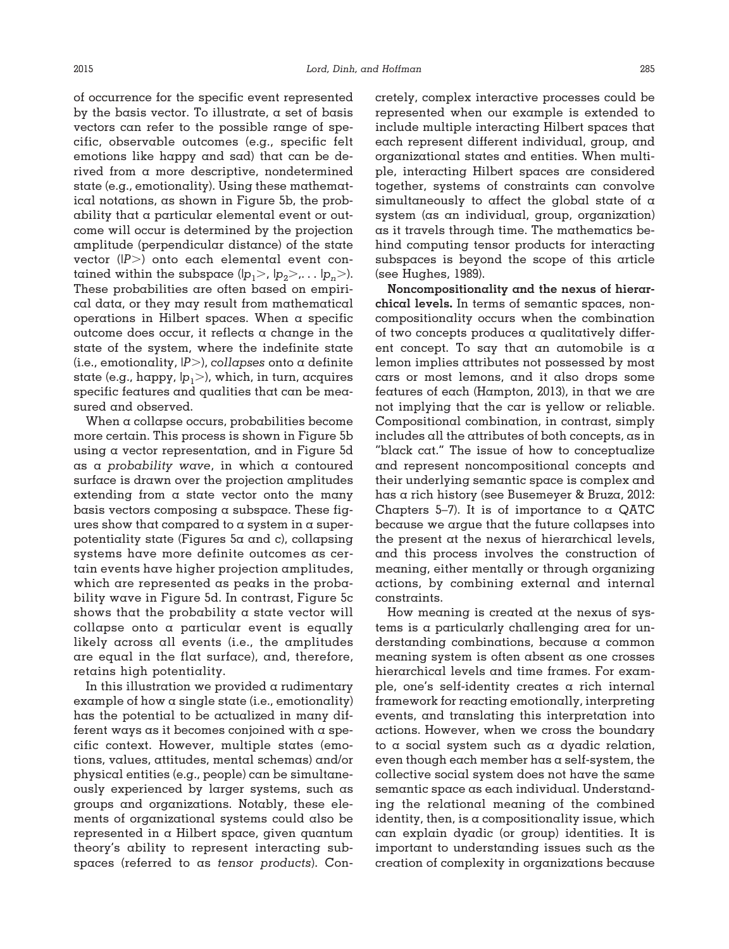of occurrence for the specific event represented by the basis vector. To illustrate,  $\alpha$  set of basis vectors can refer to the possible range of specific, observable outcomes (e.g., specific felt emotions like happy and sad) that can be derived from a more descriptive, nondetermined state (e.g., emotionality). Using these mathematical notations, as shown in Figure 5b, the probability that a particular elemental event or outcome will occur is determined by the projection amplitude (perpendicular distance) of the state vector (*|P*-) onto each elemental event contained within the subspace (l $p_1$ >, l $p_2$ >,... l $p_n$ >). These probabilities are often based on empirical data, or they may result from mathematical operations in Hilbert spaces. When a specific outcome does occur, it reflects  $\alpha$  change in the state of the system, where the indefinite state (i.e., emotionality, *|P*-), *collapses* onto a definite state (e.g., happy, |*p*1-), which, in turn, acquires specific features and qualities that can be measured and observed.

When a collapse occurs, probabilities become more certain. This process is shown in Figure 5b using a vector representation, and in Figure 5d as a *probability wave*, in which a contoured surface is drawn over the projection amplitudes extending from a state vector onto the many basis vectors composing a subspace. These figures show that compared to a system in a superpotentiality state (Figures 5a and c), collapsing systems have more definite outcomes as certain events have higher projection amplitudes, which are represented as peaks in the probability wave in Figure 5d. In contrast, Figure 5c shows that the probability  $\alpha$  state vector will collapse onto a particular event is equally likely across all events (i.e., the amplitudes are equal in the flat surface), and, therefore, retains high potentiality.

In this illustration we provided a rudimentary example of how a single state (i.e., emotionality) has the potential to be actualized in many different ways as it becomes conjoined with a specific context. However, multiple states (emotions, values, attitudes, mental schemas) and/or physical entities (e.g., people) can be simultaneously experienced by larger systems, such as groups and organizations. Notably, these elements of organizational systems could also be represented in a Hilbert space, given quantum theory's ability to represent interacting subspaces (referred to as *tensor products*). Concretely, complex interactive processes could be represented when our example is extended to include multiple interacting Hilbert spaces that each represent different individual, group, and organizational states and entities. When multiple, interacting Hilbert spaces are considered together, systems of constraints can convolve simultaneously to affect the global state of a system (as an individual, group, organization) as it travels through time. The mathematics behind computing tensor products for interacting subspaces is beyond the scope of this article (see Hughes, 1989).

**Noncompositionality and the nexus of hierarchical levels.** In terms of semantic spaces, noncompositionality occurs when the combination of two concepts produces a qualitatively different concept. To say that an automobile is a lemon implies attributes not possessed by most cars or most lemons, and it also drops some features of each (Hampton, 2013), in that we are not implying that the car is yellow or reliable. Compositional combination, in contrast, simply includes all the attributes of both concepts, as in "black cat." The issue of how to conceptualize and represent noncompositional concepts and their underlying semantic space is complex and has a rich history (see Busemeyer & Bruza, 2012: Chapters 5–7). It is of importance to  $\alpha$  QATC because we argue that the future collapses into the present at the nexus of hierarchical levels, and this process involves the construction of meaning, either mentally or through organizing actions, by combining external and internal constraints.

How meaning is created at the nexus of systems is a particularly challenging area for understanding combinations, because a common meaning system is often absent as one crosses hierarchical levels and time frames. For example, one's self-identity creates a rich internal framework for reacting emotionally, interpreting events, and translating this interpretation into actions. However, when we cross the boundary to a social system such as a dyadic relation, even though each member has a self-system, the collective social system does not have the same semantic space as each individual. Understanding the relational meaning of the combined identity, then, is a compositionality issue, which can explain dyadic (or group) identities. It is important to understanding issues such as the creation of complexity in organizations because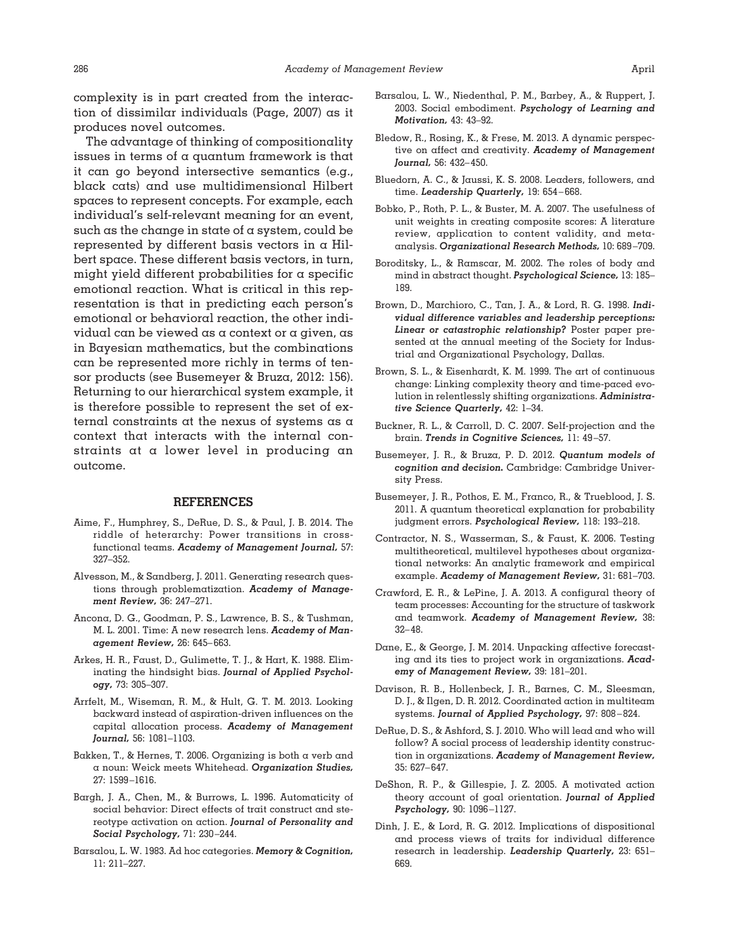The advantage of thinking of compositionality issues in terms of a quantum framework is that it can go beyond intersective semantics (e.g., black cats) and use multidimensional Hilbert spaces to represent concepts. For example, each individual's self-relevant meaning for an event, such as the change in state of a system, could be represented by different basis vectors in a Hilbert space. These different basis vectors, in turn, might yield different probabilities for  $\alpha$  specific emotional reaction. What is critical in this representation is that in predicting each person's emotional or behavioral reaction, the other individual can be viewed as a context or a given, as in Bayesian mathematics, but the combinations can be represented more richly in terms of tensor products (see Busemeyer & Bruza, 2012: 156). Returning to our hierarchical system example, it is therefore possible to represent the set of external constraints at the nexus of systems as a context that interacts with the internal constraints at a lower level in producing an outcome.

#### **REFERENCES**

- Aime, F., Humphrey, S., DeRue, D. S., & Paul, J. B. 2014. The riddle of heterarchy: Power transitions in crossfunctional teams. *Academy of Management Journal,* 57: 327–352.
- Alvesson, M., & Sandberg, J. 2011. Generating research questions through problematization. *Academy of Management Review,* 36: 247–271.
- Ancona, D. G., Goodman, P. S., Lawrence, B. S., & Tushman, M. L. 2001. Time: A new research lens. *Academy of Management Review,* 26: 645– 663.
- Arkes, H. R., Faust, D., Gulimette, T. J., & Hart, K. 1988. Eliminating the hindsight bias. *Journal of Applied Psychology,* 73: 305–307.
- Arrfelt, M., Wiseman, R. M., & Hult, G. T. M. 2013. Looking backward instead of aspiration-driven influences on the capital allocation process. *Academy of Management Journal,* 56: 1081–1103.
- Bakken, T., & Hernes, T. 2006. Organizing is both a verb and a noun: Weick meets Whitehead. *Organization Studies,* 27: 1599 –1616.
- Bargh, J. A., Chen, M., & Burrows, L. 1996. Automaticity of social behavior: Direct effects of trait construct and stereotype activation on action. *Journal of Personality and Social Psychology,* 71: 230 –244.
- Barsalou, L. W. 1983. Ad hoc categories. *Memory & Cognition,* 11: 211–227.
- Barsalou, L. W., Niedenthal, P. M., Barbey, A., & Ruppert, J. 2003. Social embodiment. *Psychology of Learning and Motivation,* 43: 43–92.
- Bledow, R., Rosing, K., & Frese, M. 2013. A dynamic perspective on affect and creativity. *Academy of Management Journal,* 56: 432– 450.
- Bluedorn, A. C., & Jaussi, K. S. 2008. Leaders, followers, and time. *Leadership Quarterly,* 19: 654 – 668.
- Bobko, P., Roth, P. L., & Buster, M. A. 2007. The usefulness of unit weights in creating composite scores: A literature review, application to content validity, and metaanalysis. *Organizational Research Methods,* 10: 689 –709.
- Boroditsky, L., & Ramscar, M. 2002. The roles of body and mind in abstract thought. *Psychological Science,* 13: 185– 189.
- Brown, D., Marchioro, C., Tan, J. A., & Lord, R. G. 1998. *Individual difference variables and leadership perceptions: Linear or catastrophic relationship?* Poster paper presented at the annual meeting of the Society for Industrial and Organizational Psychology, Dallas.
- Brown, S. L., & Eisenhardt, K. M. 1999. The art of continuous change: Linking complexity theory and time-paced evolution in relentlessly shifting organizations. *Administrative Science Quarterly,* 42: 1–34.
- Buckner, R. L., & Carroll, D. C. 2007. Self-projection and the brain. *Trends in Cognitive Sciences,* 11: 49 –57.
- Busemeyer, J. R., & Bruza, P. D. 2012. *Quantum models of cognition and decision.* Cambridge: Cambridge University Press.
- Busemeyer, J. R., Pothos, E. M., Franco, R., & Trueblood, J. S. 2011. A quantum theoretical explanation for probability judgment errors. *Psychological Review,* 118: 193–218.
- Contractor, N. S., Wasserman, S., & Faust, K. 2006. Testing multitheoretical, multilevel hypotheses about organizational networks: An analytic framework and empirical example. *Academy of Management Review,* 31: 681–703.
- Crawford, E. R., & LePine, J. A. 2013. A configural theory of team processes: Accounting for the structure of taskwork and teamwork. *Academy of Management Review,* 38: 32– 48.
- Dane, E., & George, J. M. 2014. Unpacking affective forecasting and its ties to project work in organizations. *Academy of Management Review,* 39: 181–201.
- Davison, R. B., Hollenbeck, J. R., Barnes, C. M., Sleesman, D. J., & Ilgen, D. R. 2012. Coordinated action in multiteam systems. *Journal of Applied Psychology,* 97: 808 – 824.
- DeRue, D. S., & Ashford, S. J. 2010. Who will lead and who will follow? A social process of leadership identity construction in organizations. *Academy of Management Review,* 35: 627– 647.
- DeShon, R. P., & Gillespie, J. Z. 2005. A motivated action theory account of goal orientation. *Journal of Applied Psychology,* 90: 1096 –1127.
- Dinh, J. E., & Lord, R. G. 2012. Implications of dispositional and process views of traits for individual difference research in leadership. *Leadership Quarterly,* 23: 651– 669.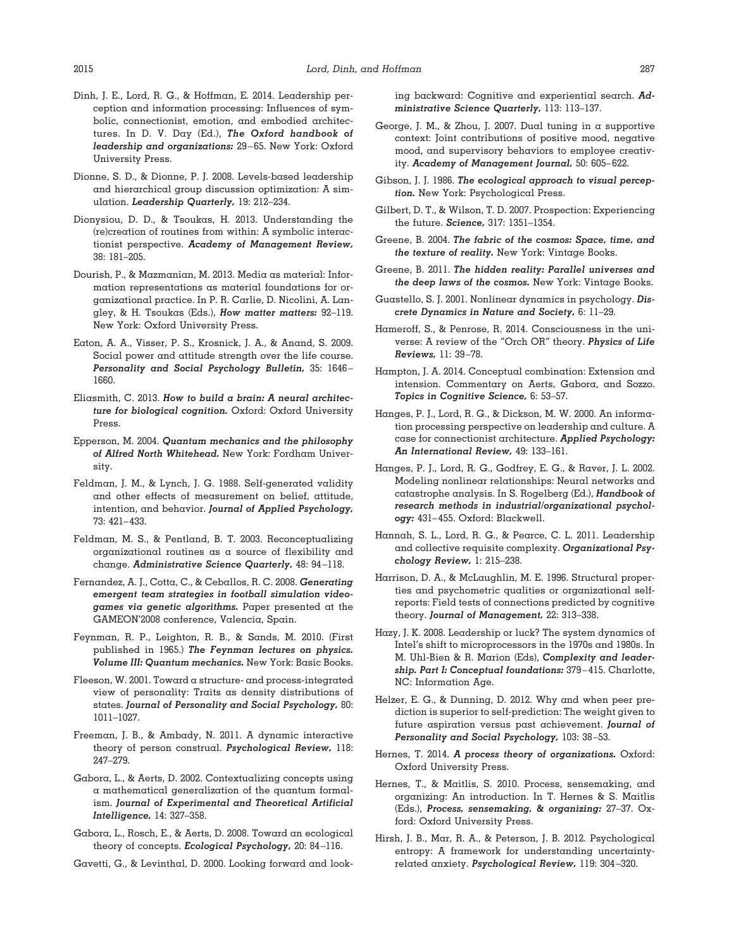- Dinh, J. E., Lord, R. G., & Hoffman, E. 2014. Leadership perception and information processing: Influences of symbolic, connectionist, emotion, and embodied architectures. In D. V. Day (Ed.), *The Oxford handbook of leadership and organizations:* 29 – 65. New York: Oxford University Press.
- Dionne, S. D., & Dionne, P. J. 2008. Levels-based leadership and hierarchical group discussion optimization: A simulation. *Leadership Quarterly,* 19: 212–234.
- Dionysiou, D. D., & Tsoukas, H. 2013. Understanding the (re)creation of routines from within: A symbolic interactionist perspective. *Academy of Management Review,* 38: 181–205.
- Dourish, P., & Mazmanian, M. 2013. Media as material: Information representations as material foundations for organizational practice. In P. R. Carlie, D. Nicolini, A. Langley, & H. Tsoukas (Eds.), *How matter matters:* 92–119. New York: Oxford University Press.
- Eaton, A. A., Visser, P. S., Krosnick, J. A., & Anand, S. 2009. Social power and attitude strength over the life course. *Personality and Social Psychology Bulletin,* 35: 1646 – 1660.
- Eliasmith, C. 2013. *How to build a brain: A neural architecture for biological cognition.* Oxford: Oxford University Press.
- Epperson, M. 2004. *Quantum mechanics and the philosophy of Alfred North Whitehead.* New York: Fordham University.
- Feldman, J. M., & Lynch, J. G. 1988. Self-generated validity and other effects of measurement on belief, attitude, intention, and behavior. *Journal of Applied Psychology,* 73: 421– 433.
- Feldman, M. S., & Pentland, B. T. 2003. Reconceptualizing organizational routines as a source of flexibility and change. *Administrative Science Quarterly,* 48: 94 –118.
- Fernandez, A. J., Cotta, C., & Ceballos, R. C. 2008. *Generating emergent team strategies in football simulation videogames via genetic algorithms.* Paper presented at the GAMEON'2008 conference, Valencia, Spain.
- Feynman, R. P., Leighton, R. B., & Sands, M. 2010. (First published in 1965.) *The Feynman lectures on physics. Volume III: Quantum mechanics.* New York: Basic Books.
- Fleeson, W. 2001. Toward a structure- and process-integrated view of personality: Traits as density distributions of states. *Journal of Personality and Social Psychology,* 80: 1011–1027.
- Freeman, J. B., & Ambady, N. 2011. A dynamic interactive theory of person construal. *Psychological Review,* 118: 247–279.
- Gabora, L., & Aerts, D. 2002. Contextualizing concepts using a mathematical generalization of the quantum formalism. *Journal of Experimental and Theoretical Artificial Intelligence,* 14: 327–358.
- Gabora, L., Rosch, E., & Aerts, D. 2008. Toward an ecological theory of concepts. *Ecological Psychology,* 20: 84 –116.
- Gavetti, G., & Levinthal, D. 2000. Looking forward and look-

ing backward: Cognitive and experiential search. *Administrative Science Quarterly,* 113: 113–137.

- George, J. M., & Zhou, J. 2007. Dual tuning in a supportive context: Joint contributions of positive mood, negative mood, and supervisory behaviors to employee creativity. *Academy of Management Journal,* 50: 605– 622.
- Gibson, J. J. 1986. *The ecological approach to visual perception.* New York: Psychological Press.
- Gilbert, D. T., & Wilson, T. D. 2007. Prospection: Experiencing the future. *Science,* 317: 1351–1354.
- Greene, B. 2004. *The fabric of the cosmos: Space, time, and the texture of reality.* New York: Vintage Books.
- Greene, B. 2011. *The hidden reality: Parallel universes and the deep laws of the cosmos.* New York: Vintage Books.
- Guastello, S. J. 2001. Nonlinear dynamics in psychology. *Discrete Dynamics in Nature and Society,* 6: 11–29.
- Hameroff, S., & Penrose, R. 2014. Consciousness in the universe: A review of the "Orch OR" theory. *Physics of Life Reviews,* 11: 39 –78.
- Hampton, J. A. 2014. Conceptual combination: Extension and intension. Commentary on Aerts, Gabora, and Sozzo. *Topics in Cognitive Science,* 6: 53–57.
- Hanges, P. J., Lord, R. G., & Dickson, M. W. 2000. An information processing perspective on leadership and culture. A case for connectionist architecture. *Applied Psychology: An International Review,* 49: 133–161.
- Hanges, P. J., Lord, R. G., Godfrey, E. G., & Raver, J. L. 2002. Modeling nonlinear relationships: Neural networks and catastrophe analysis. In S. Rogelberg (Ed.), *Handbook of research methods in industrial/organizational psychology:* 431– 455. Oxford: Blackwell.
- Hannah, S. L., Lord, R. G., & Pearce, C. L. 2011. Leadership and collective requisite complexity. *Organizational Psychology Review,* 1: 215–238.
- Harrison, D. A., & McLaughlin, M. E. 1996. Structural properties and psychometric qualities or organizational selfreports: Field tests of connections predicted by cognitive theory. *Journal of Management,* 22: 313–338.
- Hazy, J. K. 2008. Leadership or luck? The system dynamics of Intel's shift to microprocessors in the 1970s and 1980s. In M. Uhl-Bien & R. Marion (Eds), *Complexity and leadership. Part I: Conceptual foundations:* 379 – 415. Charlotte, NC: Information Age.
- Helzer, E. G., & Dunning, D. 2012. Why and when peer prediction is superior to self-prediction: The weight given to future aspiration versus past achievement. *Journal of Personality and Social Psychology,* 103: 38 –53.
- Hernes, T. 2014. *A process theory of organizations.* Oxford: Oxford University Press.
- Hernes, T., & Maitlis, S. 2010. Process, sensemaking, and organizing: An introduction. In T. Hernes & S. Maitlis (Eds.), *Process, sensemaking, & organizing:* 27–37. Oxford: Oxford University Press.
- Hirsh, J. B., Mar, R. A., & Peterson, J. B. 2012. Psychological entropy: A framework for understanding uncertaintyrelated anxiety. *Psychological Review,* 119: 304 –320.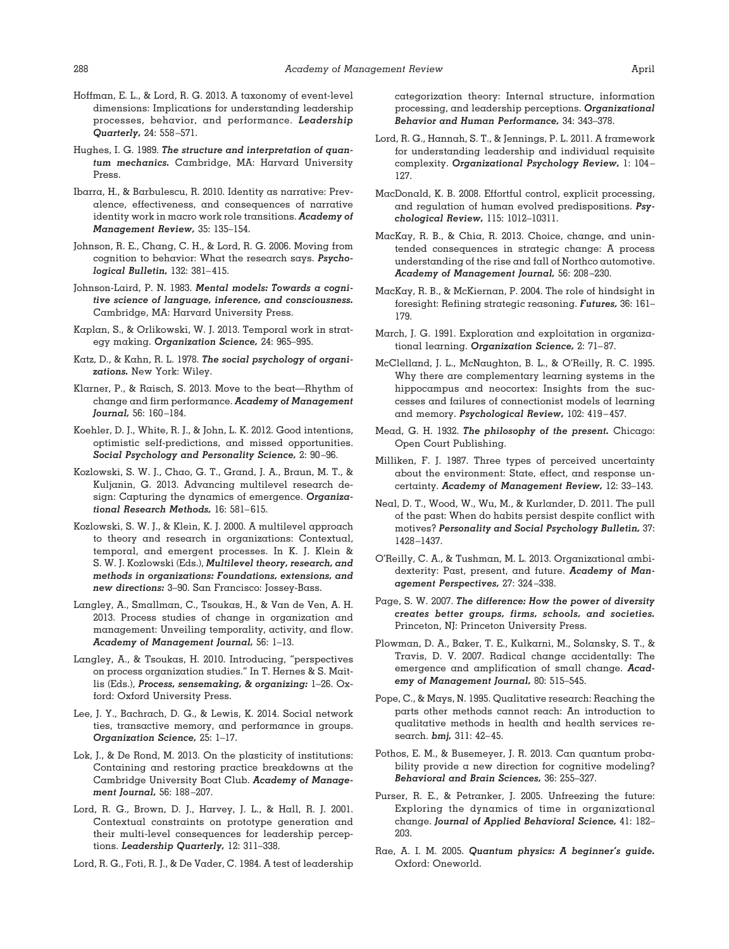- Hoffman, E. L., & Lord, R. G. 2013. A taxonomy of event-level dimensions: Implications for understanding leadership processes, behavior, and performance. *Leadership Quarterly,* 24: 558 –571.
- Hughes, I. G. 1989. *The structure and interpretation of quantum mechanics.* Cambridge, MA: Harvard University Press.
- Ibarra, H., & Barbulescu, R. 2010. Identity as narrative: Prevalence, effectiveness, and consequences of narrative identity work in macro work role transitions. *Academy of Management Review,* 35: 135–154.
- Johnson, R. E., Chang, C. H., & Lord, R. G. 2006. Moving from cognition to behavior: What the research says. *Psychological Bulletin,* 132: 381– 415.
- Johnson-Laird, P. N. 1983. *Mental models: Towards a cognitive science of language, inference, and consciousness.* Cambridge, MA: Harvard University Press.
- Kaplan, S., & Orlikowski, W. J. 2013. Temporal work in strategy making. *Organization Science,* 24: 965–995.
- Katz, D., & Kahn, R. L. 1978. *The social psychology of organizations.* New York: Wiley.
- Klarner, P., & Raisch, S. 2013. Move to the beat—Rhythm of change and firm performance. *Academy of Management Journal*, 56: 160-184.
- Koehler, D. J., White, R. J., & John, L. K. 2012. Good intentions, optimistic self-predictions, and missed opportunities. *Social Psychology and Personality Science,* 2: 90 –96.
- Kozlowski, S. W. J., Chao, G. T., Grand, J. A., Braun, M. T., & Kuljanin, G. 2013. Advancing multilevel research design: Capturing the dynamics of emergence. *Organizational Research Methods,* 16: 581– 615.
- Kozlowski, S. W. J., & Klein, K. J. 2000. A multilevel approach to theory and research in organizations: Contextual, temporal, and emergent processes. In K. J. Klein & S. W. J. Kozlowski (Eds.), *Multilevel theory, research, and methods in organizations: Foundations, extensions, and new directions:* 3–90. San Francisco: Jossey-Bass.
- Langley, A., Smallman, C., Tsoukas, H., & Van de Ven, A. H. 2013. Process studies of change in organization and management: Unveiling temporality, activity, and flow. *Academy of Management Journal,* 56: 1–13.
- Langley, A., & Tsoukas, H. 2010. Introducing, "perspectives on process organization studies." In T. Hernes & S. Maitlis (Eds.), *Process, sensemaking, & organizing:* 1–26. Oxford: Oxford University Press.
- Lee, J. Y., Bachrach, D. G., & Lewis, K. 2014. Social network ties, transactive memory, and performance in groups. *Organization Science,* 25: 1–17.
- Lok, J., & De Rond, M. 2013. On the plasticity of institutions: Containing and restoring practice breakdowns at the Cambridge University Boat Club. *Academy of Management Journal,* 56: 188 –207.
- Lord, R. G., Brown, D. J., Harvey, J. L., & Hall, R. J. 2001. Contextual constraints on prototype generation and their multi-level consequences for leadership perceptions. *Leadership Quarterly,* 12: 311–338.
- Lord, R. G., Foti, R. J., & De Vader, C. 1984. A test of leadership

categorization theory: Internal structure, information processing, and leadership perceptions. *Organizational Behavior and Human Performance,* 34: 343–378.

- Lord, R. G., Hannah, S. T., & Jennings, P. L. 2011. A framework for understanding leadership and individual requisite complexity. *Organizational Psychology Review,* 1: 104 – 127.
- MacDonald, K. B. 2008. Effortful control, explicit processing, and regulation of human evolved predispositions. *Psychological Review,* 115: 1012–10311.
- MacKay, R. B., & Chia, R. 2013. Choice, change, and unintended consequences in strategic change: A process understanding of the rise and fall of Northco automotive. *Academy of Management Journal,* 56: 208 –230.
- MacKay, R. B., & McKiernan, P. 2004. The role of hindsight in foresight: Refining strategic reasoning. *Futures,* 36: 161– 179.
- March, J. G. 1991. Exploration and exploitation in organizational learning. Organization Science, 2: 71-87.
- McClelland, J. L., McNaughton, B. L., & O'Reilly, R. C. 1995. Why there are complementary learning systems in the hippocampus and neocortex: Insights from the successes and failures of connectionist models of learning and memory. *Psychological Review,* 102: 419 – 457.
- Mead, G. H. 1932. *The philosophy of the present.* Chicago: Open Court Publishing.
- Milliken, F. J. 1987. Three types of perceived uncertainty about the environment: State, effect, and response uncertainty. *Academy of Management Review,* 12: 33–143.
- Neal, D. T., Wood, W., Wu, M., & Kurlander, D. 2011. The pull of the past: When do habits persist despite conflict with motives? *Personality and Social Psychology Bulletin,* 37: 1428 –1437.
- O'Reilly, C. A., & Tushman, M. L. 2013. Organizational ambidexterity: Past, present, and future. *Academy of Management Perspectives,* 27: 324 –338.
- Page, S. W. 2007. *The difference: How the power of diversity creates better groups, firms, schools, and societies.* Princeton, NJ: Princeton University Press.
- Plowman, D. A., Baker, T. E., Kulkarni, M., Solansky, S. T., & Travis, D. V. 2007. Radical change accidentally: The emergence and amplification of small change. *Academy of Management Journal,* 80: 515–545.
- Pope, C., & Mays, N. 1995. Qualitative research: Reaching the parts other methods cannot reach: An introduction to qualitative methods in health and health services research. *bmj,* 311: 42– 45.
- Pothos, E. M., & Busemeyer, J. R. 2013. Can quantum probability provide a new direction for cognitive modeling? *Behavioral and Brain Sciences,* 36: 255–327.
- Purser, R. E., & Petranker, J. 2005. Unfreezing the future: Exploring the dynamics of time in organizational change. *Journal of Applied Behavioral Science,* 41: 182– 203.
- Rae, A. I. M. 2005. *Quantum physics: A beginner's guide.* Oxford: Oneworld.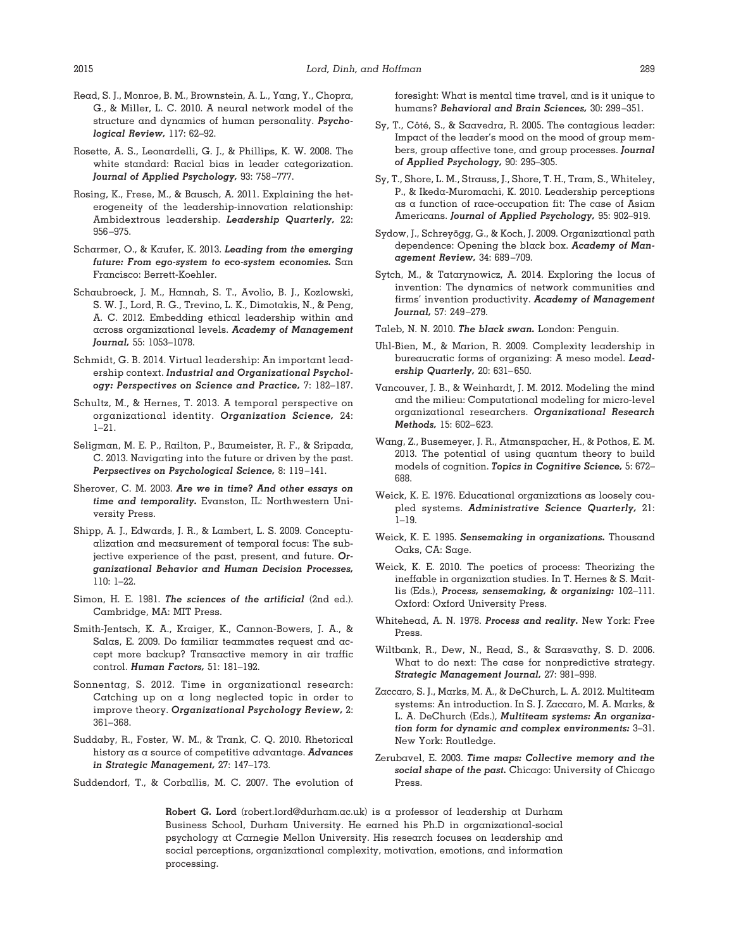- Read, S. J., Monroe, B. M., Brownstein, A. L., Yang, Y., Chopra, G., & Miller, L. C. 2010. A neural network model of the structure and dynamics of human personality. *Psychological Review,* 117: 62–92.
- Rosette, A. S., Leonardelli, G. J., & Phillips, K. W. 2008. The white standard: Racial bias in leader categorization. *Journal of Applied Psychology,* 93: 758 –777.
- Rosing, K., Frese, M., & Bausch, A. 2011. Explaining the heterogeneity of the leadership-innovation relationship: Ambidextrous leadership. *Leadership Quarterly,* 22: 956 –975.
- Scharmer, O., & Kaufer, K. 2013. *Leading from the emerging future: From ego-system to eco-system economies.* San Francisco: Berrett-Koehler.
- Schaubroeck, J. M., Hannah, S. T., Avolio, B. J., Kozlowski, S. W. J., Lord, R. G., Trevino, L. K., Dimotakis, N., & Peng, A. C. 2012. Embedding ethical leadership within and across organizational levels. *Academy of Management Journal,* 55: 1053–1078.
- Schmidt, G. B. 2014. Virtual leadership: An important leadership context. *Industrial and Organizational Psychology: Perspectives on Science and Practice,* 7: 182–187.
- Schultz, M., & Hernes, T. 2013. A temporal perspective on organizational identity. *Organization Science,* 24:  $1 - 21$ .
- Seligman, M. E. P., Railton, P., Baumeister, R. F., & Sripada, C. 2013. Navigating into the future or driven by the past. *Perpsectives on Psychological Science,* 8: 119 –141.
- Sherover, C. M. 2003. *Are we in time? And other essays on time and temporality.* Evanston, IL: Northwestern University Press.
- Shipp, A. J., Edwards, J. R., & Lambert, L. S. 2009. Conceptualization and measurement of temporal focus: The subjective experience of the past, present, and future. *Organizational Behavior and Human Decision Processes,* 110: 1–22.
- Simon, H. E. 1981. *The sciences of the artificial* (2nd ed.). Cambridge, MA: MIT Press.
- Smith-Jentsch, K. A., Kraiger, K., Cannon-Bowers, J. A., & Salas, E. 2009. Do familiar teammates request and accept more backup? Transactive memory in air traffic control. *Human Factors,* 51: 181–192.
- Sonnentag, S. 2012. Time in organizational research: Catching up on a long neglected topic in order to improve theory. *Organizational Psychology Review,* 2: 361–368.
- Suddaby, R., Foster, W. M., & Trank, C. Q. 2010. Rhetorical history as a source of competitive advantage. *Advances in Strategic Management,* 27: 147–173.
- Suddendorf, T., & Corballis, M. C. 2007. The evolution of

foresight: What is mental time travel, and is it unique to humans? *Behavioral and Brain Sciences,* 30: 299 –351.

- Sy, T., Côté, S., & Saavedra, R. 2005. The contagious leader: Impact of the leader's mood on the mood of group members, group affective tone, and group processes. *Journal of Applied Psychology,* 90: 295–305.
- Sy, T., Shore, L. M., Strauss, J., Shore, T. H., Tram, S., Whiteley, P., & Ikeda-Muromachi, K. 2010. Leadership perceptions as a function of race-occupation fit: The case of Asian Americans. *Journal of Applied Psychology,* 95: 902–919.
- Sydow, J., Schreyögg, G., & Koch, J. 2009. Organizational path dependence: Opening the black box. *Academy of Management Review,* 34: 689 –709.
- Sytch, M., & Tatarynowicz, A. 2014. Exploring the locus of invention: The dynamics of network communities and firms' invention productivity. *Academy of Management Journal,* 57: 249 –279.
- Taleb, N. N. 2010. *The black swan.* London: Penguin.
- Uhl-Bien, M., & Marion, R. 2009. Complexity leadership in bureaucratic forms of organizing: A meso model. *Leadership Quarterly,* 20: 631– 650.
- Vancouver, J. B., & Weinhardt, J. M. 2012. Modeling the mind and the milieu: Computational modeling for micro-level organizational researchers. *Organizational Research Methods,* 15: 602– 623.
- Wang, Z., Busemeyer, J. R., Atmanspacher, H., & Pothos, E. M. 2013. The potential of using quantum theory to build models of cognition. *Topics in Cognitive Science,* 5: 672– 688.
- Weick, K. E. 1976. Educational organizations as loosely coupled systems. *Administrative Science Quarterly,* 21: 1–19.
- Weick, K. E. 1995. *Sensemaking in organizations.* Thousand Oaks, CA: Sage.
- Weick, K. E. 2010. The poetics of process: Theorizing the ineffable in organization studies. In T. Hernes & S. Maitlis (Eds.), *Process, sensemaking, & organizing:* 102–111. Oxford: Oxford University Press.
- Whitehead, A. N. 1978. *Process and reality.* New York: Free Press.
- Wiltbank, R., Dew, N., Read, S., & Sarasvathy, S. D. 2006. What to do next: The case for nonpredictive strategy. *Strategic Management Journal,* 27: 981–998.
- Zaccaro, S. J., Marks, M. A., & DeChurch, L. A. 2012. Multiteam systems: An introduction. In S. J. Zaccaro, M. A. Marks, & L. A. DeChurch (Eds.), *Multiteam systems: An organization form for dynamic and complex environments:* 3–31. New York: Routledge.
- Zerubavel, E. 2003. *Time maps: Collective memory and the social shape of the past.* Chicago: University of Chicago Press.

**Robert G. Lord** (robert.lord@durham.ac.uk) is a professor of leadership at Durham Business School, Durham University. He earned his Ph.D in organizational-social psychology at Carnegie Mellon University. His research focuses on leadership and social perceptions, organizational complexity, motivation, emotions, and information processing.